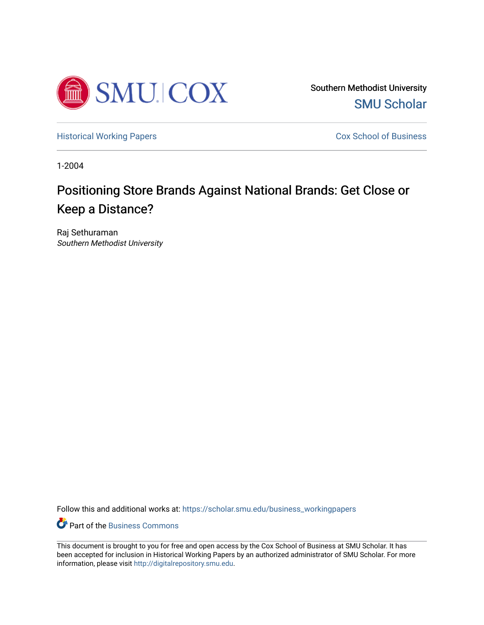

Southern Methodist University [SMU Scholar](https://scholar.smu.edu/?utm_source=scholar.smu.edu%2Fbusiness_workingpapers%2F21&utm_medium=PDF&utm_campaign=PDFCoverPages) 

[Historical Working Papers](https://scholar.smu.edu/business_workingpapers?utm_source=scholar.smu.edu%2Fbusiness_workingpapers%2F21&utm_medium=PDF&utm_campaign=PDFCoverPages) **Cox School of Business** 

1-2004

# Positioning Store Brands Against National Brands: Get Close or Keep a Distance?

Raj Sethuraman Southern Methodist University

Follow this and additional works at: [https://scholar.smu.edu/business\\_workingpapers](https://scholar.smu.edu/business_workingpapers?utm_source=scholar.smu.edu%2Fbusiness_workingpapers%2F21&utm_medium=PDF&utm_campaign=PDFCoverPages) 

**C** Part of the [Business Commons](http://network.bepress.com/hgg/discipline/622?utm_source=scholar.smu.edu%2Fbusiness_workingpapers%2F21&utm_medium=PDF&utm_campaign=PDFCoverPages)

This document is brought to you for free and open access by the Cox School of Business at SMU Scholar. It has been accepted for inclusion in Historical Working Papers by an authorized administrator of SMU Scholar. For more information, please visit [http://digitalrepository.smu.edu](http://digitalrepository.smu.edu/).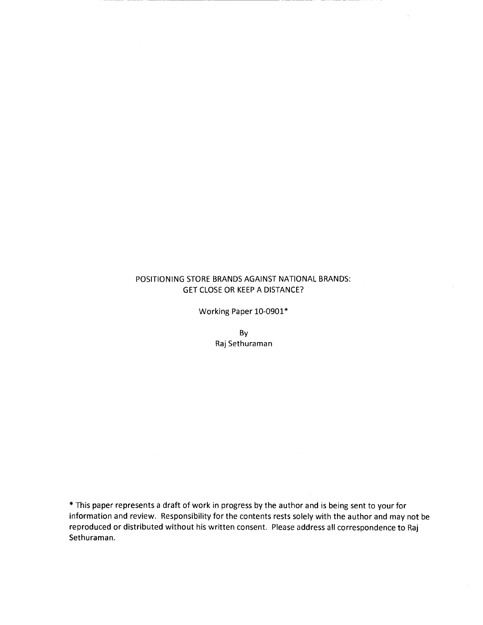# POSITIONING STORE BRANDS AGAINST NATIONAL BRANDS: **GET CLOSE OR KEEP A DISTANCE?**

Working Paper 10-0901\*

By Raj Sethuraman

\*This paper represents a draft of work in progress by the author and is being sent to your for information and review. Responsibility for the contents rests solely with the author and may not be reproduced or distributed without his written consent. Please address all correspondence to Raj Sethuraman.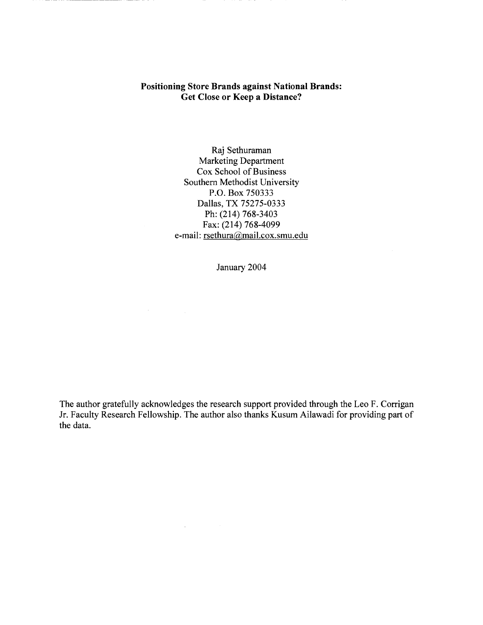# **Positioning Store Brands against National Brands: Get Close or Keep a Distance?**

Raj Sethuraman Marketing Department Cox School of Business Southern Methodist University P.O. Box 750333 Dallas, TX 75275-0333 Ph: (214) 768-3403 Fax: (214) 768-4099 e-mail: rsethura@mail.cox.smu.edu

January 2004

The author gratefully acknowledges the research support provided through the Leo F. Corrigan Jr. Faculty Research Fellowship. The author also thanks Kusum Ailawadi for providing part of the data.

 $\Delta \phi$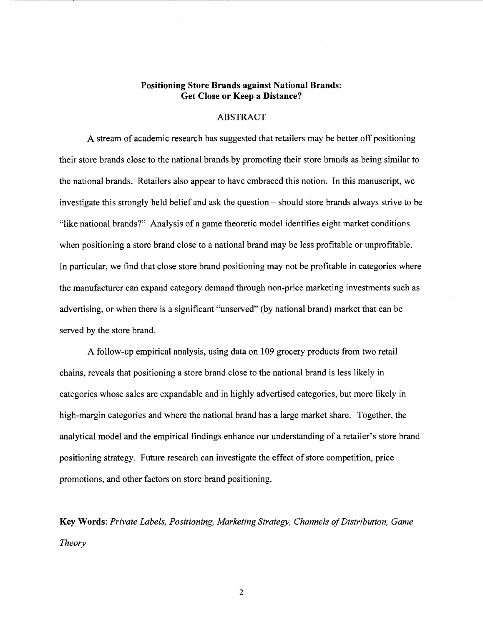# **Positioning Store Brands against National Brands: Get Close or Keep a Distance?**

---------------------------------------------------

#### **ABSTRACT**

A stream of academic research has suggested that retailers may be better off positioning their store brands close to the national brands by promoting their store brands as being similar to the national brands. Retailers also appear to have embraced this notion. In this manuscript, we investigate this strongly held belief and ask the question – should store brands always strive to be "like national brands?" Analysis of a game theoretic model identifies eight market conditions when positioning a store brand close to a national brand may be less profitable or unprofitable. In particular, we find that close store brand positioning may not be profitable in categories where the manufacturer can expand category demand through non-price marketing investments such as advertising, or when there is a significant "unserved" (by national brand) market that can be served by the store brand.

A follow-up empirical analysis, using data on 109 grocery products from two retail chains, reveals that positioning a store brand close to the national brand is less likely in categories whose sales are expandable and in highly advertised categories, but more likely in high-margin categories and where the national brand has a large market share. Together, the analytical model and the empirical findings enhance our understanding of a retailer's store brand positioning strategy. Future research can investigate the effect of store competition, price promotions, and other factors on store brand positioning.

**Key Words:** *Private Labels, Positioning, Marketing Strategy, Channels of Distribution, Game Theory*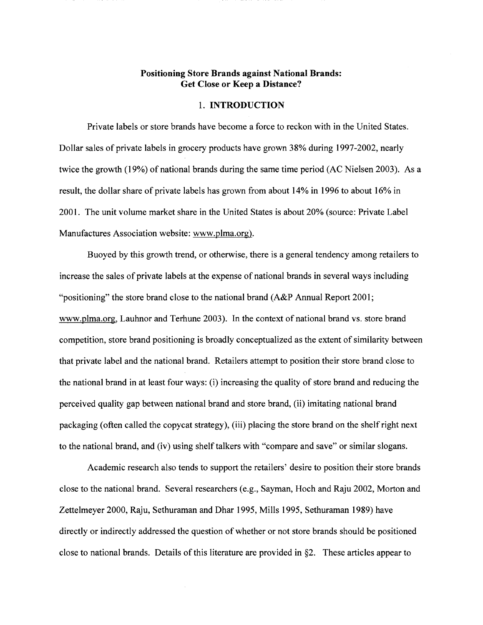# **Positioning Store Brands against National Brands: Get Close or Keep a Distance?**

#### 1. **INTRODUCTION**

Private labels or store brands have become a force to reckon with in the United States. Dollar sales of private labels in grocery products have grown 38% during 1997-2002, nearly twice the growth (19%) of national brands during the same time period (AC Nielsen 2003). As a result, the dollar share of private labels has grown from about 14% in 1996 to about 16% in 2001. The unit volume market share in the United States is about 20% (source: Private Label Manufactures Association website: www.plma.org).

Buoyed by this growth trend, or otherwise, there is a general tendency among retailers to increase the sales of private labels at the expense of national brands in several ways including "positioning" the store brand close to the national brand (A&P Annual Report 2001; www.plma.org, Lauhnor and Terhune 2003). In the context of national brand vs. store brand competition, store brand positioning is broadly conceptualized as the extent of similarity between that private label and the national brand. Retailers attempt to position their store brand close to the national brand in at least four ways: (i) increasing the quality of store brand and reducing the perceived quality gap between national brand and store brand, (ii) imitating national brand packaging (often called the copycat strategy), (iii) placing the store brand on the shelf right next to the national brand, and (iv) using shelf talkers with "compare and save" or similar slogans.

Academic research also tends to support the retailers' desire to position their store brands close to the national brand. Several researchers (e.g., Sayman, Hoch and Raju 2002, Morton and Zettelmeyer 2000, Raju, Sethuraman and Dhar 1995, Mills 1995, Sethuraman 1989) have directly or indirectly addressed the question of whether or not store brands should be positioned close to national brands. Details of this literature are provided in §2. These articles appear to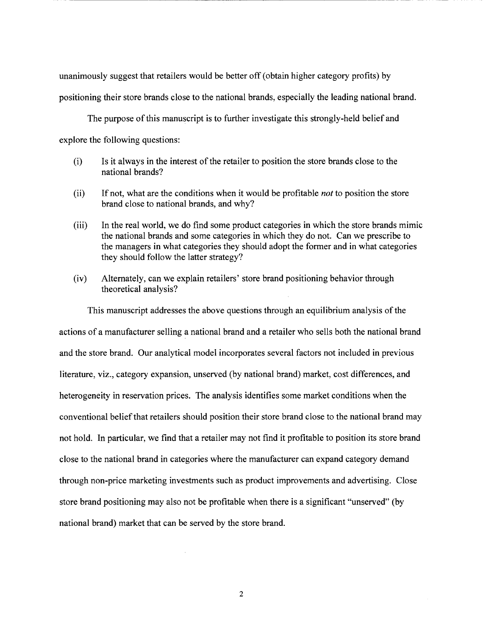unanimously suggest that retailers would be better off (obtain higher category profits) by

positioning their store brands close to the national brands, especially the leading national brand.

-------------------------------------------

The purpose of this manuscript is to further investigate this strongly-held belief and explore the following questions:

- (i) Is it always in the interest of the retailer to position the store brands close to the national brands?
- (ii) If not, what are the conditions when it would be profitable *not* to position the store brand close to national brands, and why?
- (iii) In the real world, we do find some product categories in which the store brands mimic the national brands and some categories in which they do not. Can we prescribe to the managers in what categories they should adopt the former and in what categories they should follow the latter strategy?
- (iv) Alternately, can we explain retailers' store brand positioning behavior through theoretical analysis?

This manuscript addresses the above questions through an equilibrium analysis of the actions of a manufacturer selling a national brand and a retailer who sells both the national brand and the store brand. Our analytical model incorporates several factors not included in previous literature, viz., category expansion, unserved (by national brand) market, cost differences, and heterogeneity in reservation prices. The analysis identifies some market conditions when the conventional belief that retailers should position their store brand close to the national brand may not hold. In particular, we find that a retailer may not find it profitable to position its store brand close to the national brand in categories where the manufacturer can expand category demand through non-price marketing investments such as product improvements and advertising. Close store brand positioning may also not be profitable when there is a significant "unserved" (by national brand) market that can be served by the store brand.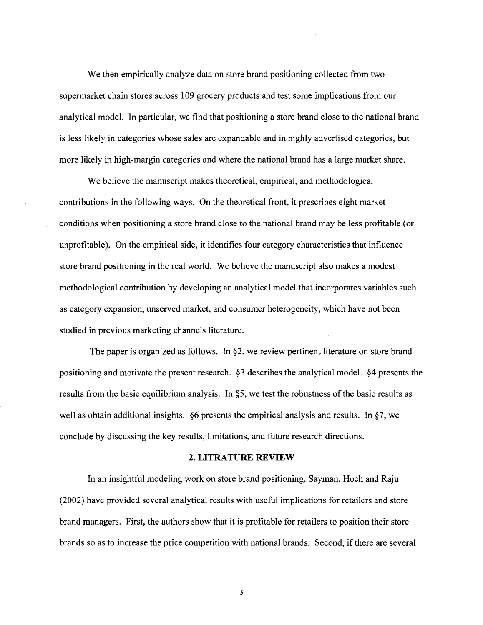We then empirically analyze data on store brand positioning collected from two supermarket chain stores across 109 grocery products and test some implications from our analytical model. In particular, we find that positioning a store brand close to the national brand is less likely in categories whose sales are expandable and in highly advertised categories, but more likely in high-margin categories and where the national brand has a large market share.

-----~~-~~~~~~~~~~~~~~~~~~~~~~~~~~~~~~--------------

We believe the manuscript makes theoretical, empirical, and methodological contributions in the following ways. On the theoretical front, it prescribes eight market conditions when positioning a store brand close to the national brand may be less profitable (or unprofitable). On the empirical side, it identifies four category characteristics that influence store brand positioning in the real world. We believe the manuscript also makes a modest methodological contribution by developing an analytical model that incorporates variables such as category expansion, unserved market, and consumer heterogeneity, which have not been studied in previous marketing channels literature.

The paper is organized as follows. In §2, we review pertinent literature on store brand positioning and motivate the present research. §3 describes the analytical model. §4 presents the results from the basic equilibrium analysis. In §5, we test the robustness of the basic results as well as obtain additional insights. §6 presents the empirical analysis and results. In §7, we conclude by discussing the key results, limitations, and future research directions.

# **2. LITRATURE REVIEW**

In an insightful modeling work on store brand positioning, Sayman, Hoch and Raju (2002) have provided several analytical results with useful implications for retailers and store brand managers. First, the authors show that it is profitable for retailers to position their store brands so as to increase the price competition with national brands. Second, if there are several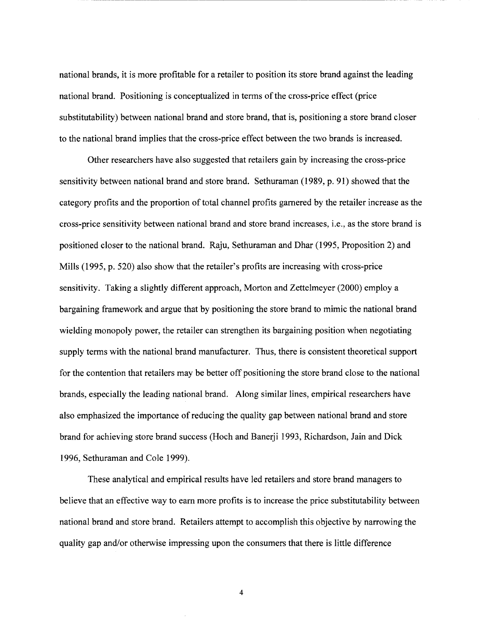national brands, it is more profitable for a retailer to position its store brand against the leading national brand. Positioning is conceptualized in terms of the cross-price effect (price substitutability) between national brand and store brand, that is, positioning a store brand closer to the national brand implies that the cross-price effect between the two brands is increased.

----------------------- ----------------

Other researchers have also suggested that retailers gain by increasing the cross-price sensitivity between national brand and store brand. Sethuraman (1989, p. 91) showed that the category profits and the proportion of total channel profits garnered by the retailer increase as the cross-price sensitivity between national brand and store brand increases, i.e., as the store brand is positioned closer to the national brand. Raju, Sethuraman and Dhar (1995, Proposition 2) and Mills (1995, p. 520) also show that the retailer's profits are increasing with cross-price sensitivity. Taking a slightly different approach, Morton and Zettelmeyer (2000) employ a bargaining framework and argue that by positioning the store brand to mimic the national brand wielding monopoly power, the retailer can strengthen its bargaining position when negotiating supply terms with the national brand manufacturer. Thus, there is consistent theoretical support for the contention that retailers may be better off positioning the store brand close to the national brands, especially the leading national brand. Along similar lines, empirical researchers have also emphasized the importance of reducing the quality gap between national brand and store brand for achieving store brand success (Hoch and Banerji 1993, Richardson, Jain and Dick 1996, Sethuraman and Cole 1999).

These analytical and empirical results have led retailers and store brand managers to believe that an effective way to earn more profits is to increase the price substitutability between national brand and store brand. Retailers attempt to accomplish this objective by narrowing the quality gap and/or otherwise impressing upon the consumers that there is little difference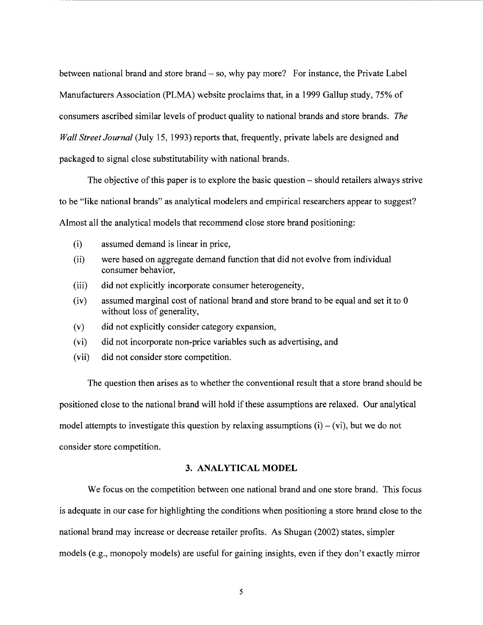between national brand and store brand- so, why pay more? For instance, the Private Label Manufacturers Association (PLMA) website proclaims that, in a 1999 Gallup study, 75% of consumers ascribed similar levels of product quality to national brands and store brands. *The Wall Street Journal* (July 15, 1993) reports that, frequently, private labels are designed and packaged to signal close substitutability with national brands.

The objective of this paper is to explore the basic question- should retailers always strive to be "like national brands" as analytical modelers and empirical researchers appear to suggest? Almost all the analytical models that recommend close store brand positioning:

- (i) assumed demand is linear in price,
- (ii) were based on aggregate demand function that did not evolve from individual consumer behavior,
- (iii) did not explicitly incorporate consumer heterogeneity,
- (iv) assumed marginal cost of national brand and store brand to be equal and set it to 0 without loss of generality,
- (v) did not explicitly consider category expansion,
- (vi) did not incorporate non-price variables such as advertising, and
- (vii) did not consider store competition.

The question then arises as to whether the conventional result that a store brand should be positioned close to the national brand will hold if these assumptions are relaxed. Our analytical model attempts to investigate this question by relaxing assumptions  $(i) - (vi)$ , but we do not consider store competition.

# **3. ANALYTICAL MODEL**

We focus on the competition between one national brand and one store brand. This focus is adequate in our case for highlighting the conditions when positioning a store brand close to the national brand may increase or decrease retailer profits. As Shugan (2002) states, simpler models (e.g., monopoly models) are useful for gaining insights, even if they don't exactly mirror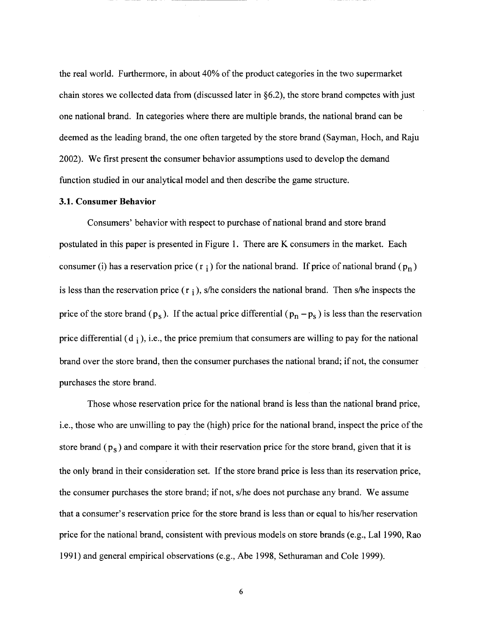the real world. Furthermore, in about 40% of the product categories in the two supermarket chain stores we collected data from (discussed later in §6.2), the store brand competes with just one national brand. In categories where there are multiple brands, the national brand can be deemed as the leading brand, the one often targeted by the store brand (Sayman, Hoch, and Raju 2002). We first present the consumer behavior assumptions used to develop the demand function studied in our analytical model and then describe the game structure.

------------

#### **3.1. Consumer Behavior**

Consumers' behavior with respect to purchase of national brand and store brand postulated in this paper is presented in Figure 1. There are K consumers in the market. Each consumer (i) has a reservation price ( $r_i$ ) for the national brand. If price of national brand ( $p_n$ ) is less than the reservation price  $(r_i)$ , s/he considers the national brand. Then s/he inspects the price of the store brand ( $p_s$ ). If the actual price differential ( $p_n - p_s$ ) is less than the reservation price differential  $(d_i)$ , i.e., the price premium that consumers are willing to pay for the national brand over the store brand, then the consumer purchases the national brand; if not, the consumer purchases the store brand.

Those whose reservation price for the national brand is less than the national brand price, i.e., those who are unwilling to pay the (high) price for the national brand, inspect the price of the store brand  $(p_s)$  and compare it with their reservation price for the store brand, given that it is the only brand in their consideration set. If the store brand price is less than its reservation price, the consumer purchases the store brand; if not, s/he does not purchase any brand. We assume that a consumer's reservation price for the store brand is less than or equal to his/her reservation price for the national brand, consistent with previous models on store brands (e.g., Lal 1990, Rao 1991) and general empirical observations (e.g., Abe 1998, Sethuraman and Cole 1999).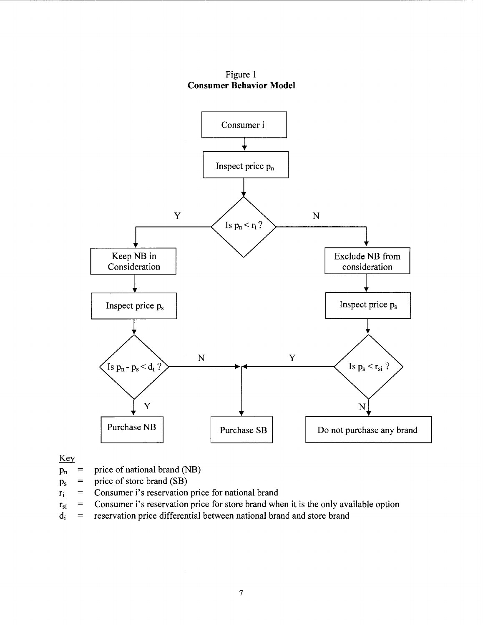Figure 1 **Consumer Behavior Model** 



Key

- $p_n$  = price of national brand (NB)
- $p_s$  = price of store brand (SB)
- $r_i$  = Consumer i's reservation price for national brand
- $r_{si}$  = Consumer i's reservation price for store brand when it is the only available option
- $d_i$  = reservation price differential between national brand and store brand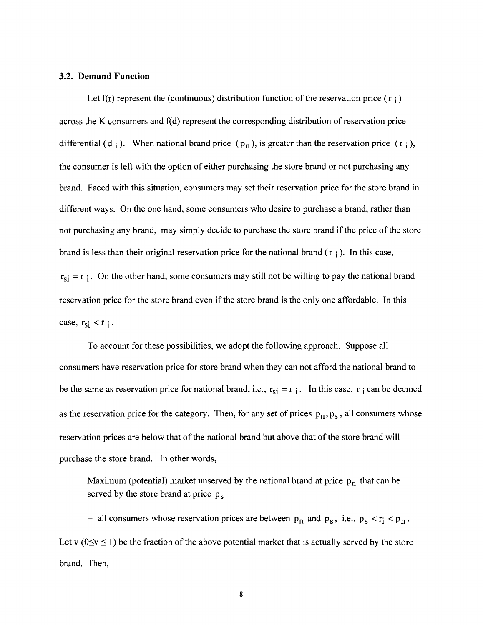#### 3.2. **Demand Function**

Let  $f(r)$  represent the (continuous) distribution function of the reservation price ( $r_i$ ) across the K consumers and  $f(d)$  represent the corresponding distribution of reservation price differential (d i ). When national brand price  $(p_n)$ , is greater than the reservation price  $(r_i)$ , the consumer is left with the option of either purchasing the store brand or not purchasing any brand. Faced with this situation, consumers may set their reservation price for the store brand in different ways. On the one hand, some consumers who desire to purchase a brand, rather than not purchasing any brand, may simply decide to purchase the store brand if the price of the store brand is less than their original reservation price for the national brand  $(r_i)$ . In this case,  $r_{si} = r_i$ . On the other hand, some consumers may still not be willing to pay the national brand reservation price for the store brand even if the store brand is the only one affordable. In this case,  $r_{si} < r_i$ .

-------------------------------------------------------------

To account for these possibilities, we adopt the following approach. Suppose all consumers have reservation price for store brand when they can not afford the national brand to be the same as reservation price for national brand, i.e.,  $r_{si} = r_i$ . In this case, r i can be deemed as the reservation price for the category. Then, for any set of prices  $p_n, p_s$ , all consumers whose reservation prices are below that of the national brand but above that of the store brand will purchase the store brand. In other words,

Maximum (potential) market unserved by the national brand at price  $p_n$  that can be served by the store brand at price  $p_s$ 

= all consumers whose reservation prices are between  $p_n$  and  $p_s$ , i.e.,  $p_s < r_i < p_n$ . Let v ( $0 \le v \le 1$ ) be the fraction of the above potential market that is actually served by the store brand. Then,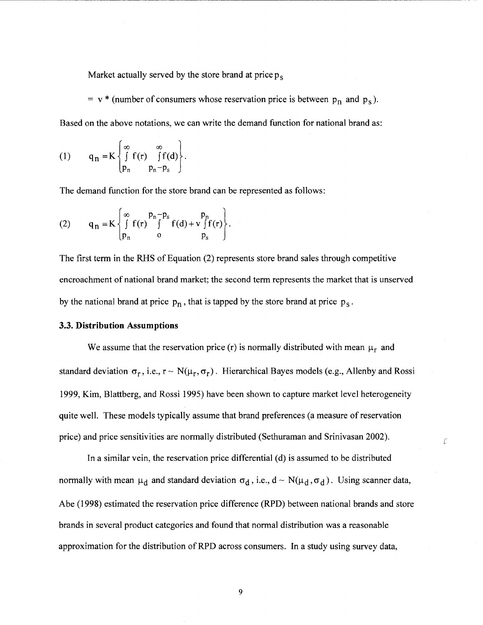Market actually served by the store brand at price  $p_s$ 

= v \* (number of consumers whose reservation price is between  $p_n$  and  $p_s$ ). Based on the above notations, we can write the demand function for national brand as:

(1) 
$$
q_n = K \begin{cases} \infty & \infty \\ \int_{p_n}^{\infty} f(r) & \int_{p_n - p_s}^{\infty} f(d) \end{cases}.
$$

The demand function for the store brand can be represented as follows:

(2) 
$$
q_n = K \begin{cases} \infty & p_n - p_s \\ \int_{p_n}^{\infty} f(r) \int_{0}^{p_n - p_s} f(d) + v \int_{p_s}^{p_n} f(r) \end{cases}.
$$

The first term in the RHS of Equation (2) represents store brand sales through competitive encroachment of national brand market; the second term represents the market that is unserved by the national brand at price  $p_n$ , that is tapped by the store brand at price  $p_s$ .

#### 3.3. **Distribution Assumptions**

We assume that the reservation price (r) is normally distributed with mean  $\mu_r$  and standard deviation  $\sigma_r$ , i.e.,  $r \sim N(\mu_r, \sigma_r)$ . Hierarchical Bayes models (e.g., Allenby and Rossi 1999, Kim, Blattberg, and Rossi 1995) have been shown to capture market level heterogeneity quite well. These models typically assume that brand preferences (a measure of reservation price) and price sensitivities are normally distributed (Sethuraman and Srinivasan 2002).

 $\mathcal{L}$ 

In a similar vein, the reservation price differential (d) is assumed to be distributed normally with mean  $\mu_d$  and standard deviation  $\sigma_d$ , i.e.,  $d \sim N(\mu_d, \sigma_d)$ . Using scanner data, Abe (1998) estimated the reservation price difference (RPD) between national brands and store brands in several product categories and found that normal distribution was a reasonable approximation for the distribution of RPD across consumers. In a study using survey data,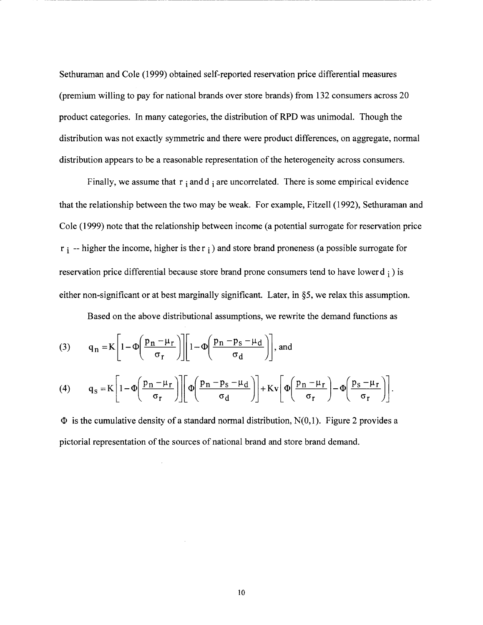Sethuraman and Cole (1999) obtained self-reported reservation price differential measures (premium willing to pay for national brands over store brands) from 132 consumers across 20 product categories. In many categories, the distribution of RPD was unimodal. Though the distribution was not exactly symmetric and there were product differences, on aggregate, normal distribution appears to be a reasonable representation of the heterogeneity across consumers.

------------------------------------------------------------------------------------------

Finally, we assume that  $r_i$  and  $d_i$  are uncorrelated. There is some empirical evidence that the relationship between the two may be weak. For example, Fitzell (1992), Sethuraman and Cole (1999) note that the relationship between income (a potential surrogate for reservation price  $r_i$  -- higher the income, higher is the  $r_i$ ) and store brand proneness (a possible surrogate for reservation price differential because store brand prone consumers tend to have lower  $d_i$  ) is either non-significant or at best marginally significant. Later, in §5, we relax this assumption.

Based on the above distributional assumptions, we rewrite the demand functions as

(3) 
$$
q_n = K \left[ 1 - \Phi \left( \frac{p_n - \mu_r}{\sigma_r} \right) \right] \left[ 1 - \Phi \left( \frac{p_n - p_s - \mu_d}{\sigma_d} \right) \right], \text{ and}
$$

(4) 
$$
q_{s} = K \left[ 1 - \Phi \left( \frac{p_{n} - \mu_{r}}{\sigma_{r}} \right) \right] \left[ \Phi \left( \frac{p_{n} - p_{s} - \mu_{d}}{\sigma_{d}} \right) \right] + Kv \left[ \Phi \left( \frac{p_{n} - \mu_{r}}{\sigma_{r}} \right) - \Phi \left( \frac{p_{s} - \mu_{r}}{\sigma_{r}} \right) \right].
$$

 $\Phi$  is the cumulative density of a standard normal distribution, N(0,1). Figure 2 provides a pictorial representation of the sources of national brand and store brand demand.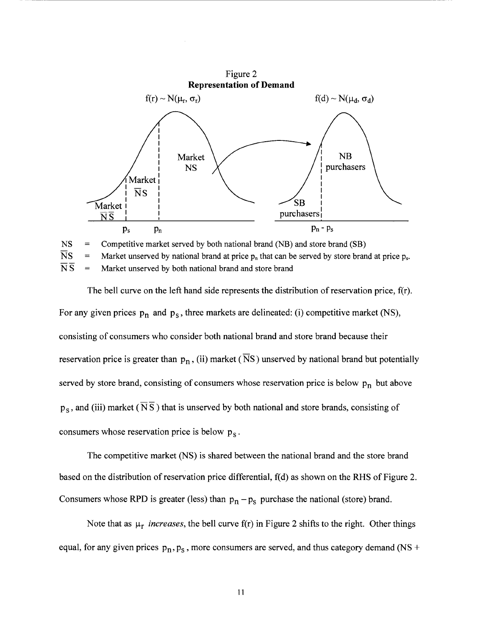

 $NS =$  Competitive market served by both national brand (NB) and store brand (SB)  $\overline{N}S$  = Market unserved by national brand at price  $p_n$  that can be served by store brand at price  $p_s$ .  $\overline{\text{N}}\overline{\text{S}}$  = Market unserved by both national brand and store brand

The bell curve on the left hand side represents the distribution of reservation price, f(r). For any given prices  $p_n$  and  $p_s$ , three markets are delineated: (i) competitive market (NS), consisting of consumers who consider both national brand and store brand because their reservation price is greater than  $p_n$ , (ii) market ( $\overline{N}S$ ) unserved by national brand but potentially served by store brand, consisting of consumers whose reservation price is below  $p_n$  but above  $p_s$ , and (iii) market ( $\overline{N} \overline{S}$ ) that is unserved by both national and store brands, consisting of consumers whose reservation price is below  $p_s$ .

The competitive market (NS) is shared between the national brand and the store brand based on the distribution of reservation price differential,  $f(d)$  as shown on the RHS of Figure 2. Consumers whose RPD is greater (less) than  $p_n - p_s$  purchase the national (store) brand.

Note that as  $\mu_r$  *increases*, the bell curve f(r) in Figure 2 shifts to the right. Other things equal, for any given prices  $p_n$ ,  $p_s$ , more consumers are served, and thus category demand (NS +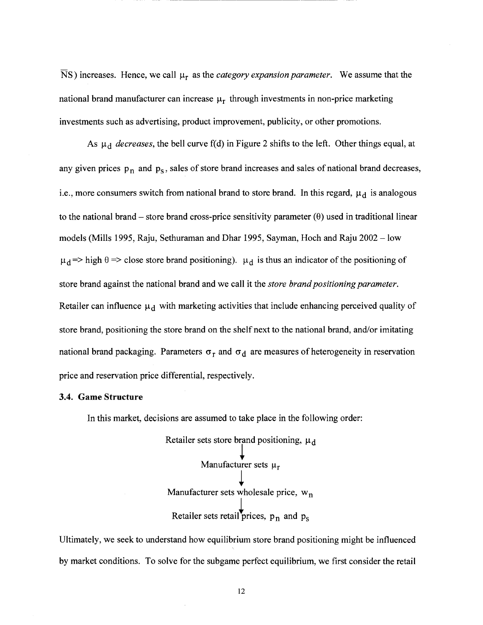$\overline{N}$ S) increases. Hence, we call  $\mu_r$  as the *category expansion parameter*. We assume that the national brand manufacturer can increase  $\mu_r$  through investments in non-price marketing investments such as advertising, product improvement, publicity, or other promotions.

------------------------------

As  $\mu_d$  *decreases*, the bell curve f(d) in Figure 2 shifts to the left. Other things equal, at any given prices  $p_n$  and  $p_s$ , sales of store brand increases and sales of national brand decreases, i.e., more consumers switch from national brand to store brand. In this regard,  $\mu_d$  is analogous to the national brand – store brand cross-price sensitivity parameter  $(\theta)$  used in traditional linear models (Mills 1995, Raju, Sethuraman and Dhar 1995, Sayman, Hoch and Raju 2002 - low  $\mu_d$  => high  $\theta$  => close store brand positioning).  $\mu_d$  is thus an indicator of the positioning of store brand against the national brand and we call it the *store brand positioning parameter.*  Retailer can influence  $\mu_d$  with marketing activities that include enhancing perceived quality of store brand, positioning the store brand on the shelf next to the national brand, and/or imitating national brand packaging. Parameters  $\sigma_r$  and  $\sigma_d$  are measures of heterogeneity in reservation price and reservation price differential, respectively.

#### **3.4. Game Structure**

In this market, decisions are assumed to take place in the following order:

Retailer sets store brand positioning,  $\mu_d$ **Manufacturer sets**  $\mu_r$ Manufacturer sets wholesale price,  $w_n$ Retailer sets retail prices,  $p_n$  and  $p_s$ 

Ultimately, we seek to understand how equilibrium store brand positioning might be influenced by market conditions. To solve for the subgame perfect equilibrium, we first consider the retail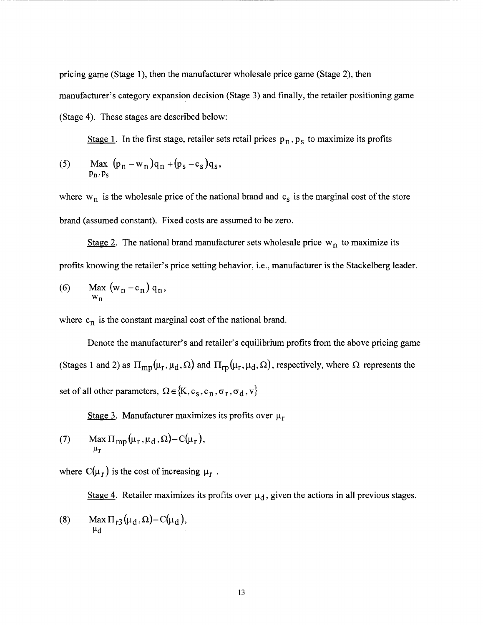pricing game (Stage 1), then the manufacturer wholesale price game (Stage 2), then manufacturer's category expansion decision (Stage 3) and finally, the retailer positioning game (Stage 4). These stages are described below:

----------------------------------------------------

Stage 1. In the first stage, retailer sets retail prices  $p_n$ ,  $p_s$  to maximize its profits

(5) Max 
$$
(p_n - w_n)q_n + (p_s - c_s)q_s
$$
,  
\n $p_n, p_s$ 

where  $w_n$  is the wholesale price of the national brand and  $c_s$  is the marginal cost of the store brand (assumed constant). Fixed costs are assumed to be zero.

Stage 2. The national brand manufacturer sets wholesale price  $w_n$  to maximize its profits knowing the retailer's price setting behavior, i.e., manufacturer is the Stackelberg leader.

(6) Max 
$$
(w_n - c_n) q_n
$$
,  
\n $w_n$ 

where  $c_n$  is the constant marginal cost of the national brand.

Denote the manufacturer's and retailer's equilibrium profits from the above pricing game (Stages 1 and 2) as  $\Pi_{mp}(\mu_r, \mu_d, \Omega)$  and  $\Pi_{rp}(\mu_r, \mu_d, \Omega)$ , respectively, where  $\Omega$  represents the set of all other parameters,  $\Omega \in \{K, c_S, c_n, \sigma_r, \sigma_d, v\}$ 

Stage 3. Manufacturer maximizes its profits over  $\mu_r$ 

(7) Max 
$$
\Pi_{\text{mp}}(\mu_{\text{r}}, \mu_{\text{d}}, \Omega) - C(\mu_{\text{r}})
$$
,  $\mu_{\text{r}}$ 

where  $C(\mu_r)$  is the cost of increasing  $\mu_r$ .

Stage 4. Retailer maximizes its profits over  $\mu_d$ , given the actions in all previous stages.

(8) Max 
$$
\Pi_{r3}(\mu_d, \Omega) - C(\mu_d)
$$
,  $\mu_d$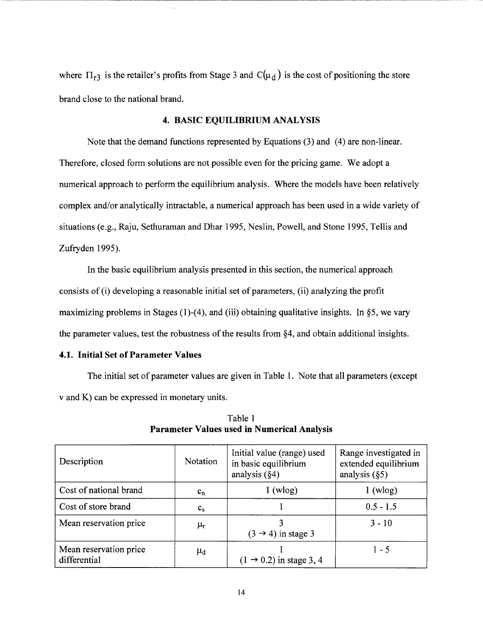where  $\Pi_{r3}$  is the retailer's profits from Stage 3 and C( $\mu_d$ ) is the cost of positioning the store brand close to the national brand.

-------------------------------------------------------

# **4. BASIC EQUILIBRIUM ANALYSIS**

Note that the demand functions represented by Equations (3) and (4) are non-linear. Therefore, closed form solutions are not possible even for the pricing game. We adopt a numerical approach to perform the equilibrium analysis. Where the models have been relatively complex and/or analytically intractable, a numerical approach has been used in a wide variety of situations (e.g., Raju, Sethuraman and Dhar 1995, Neslin, Powell, and Stone 1995, Tellis and Zufryden 1995).

In the basic equilibrium analysis presented in this section, the numerical approach consists of (i) developing a reasonable initial set of parameters, (ii) analyzing the profit maximizing problems in Stages  $(1)-(4)$ , and  $(iii)$  obtaining qualitative insights. In §5, we vary the parameter values, test the robustness of the results from §4, and obtain additional insights.

# **4.1. Initial Set of Parameter Values**

The initial set of parameter values are given in Table **1.** Note that all parameters (except v and K) can be expressed in monetary units.

| Description                            | <b>Notation</b>  | Initial value (range) used<br>in basic equilibrium<br>analysis $(\S4)$ | Range investigated in<br>extended equilibrium<br>analysis $(\S5)$ |
|----------------------------------------|------------------|------------------------------------------------------------------------|-------------------------------------------------------------------|
| Cost of national brand                 | $c_{n}$          | $1$ (wlog)                                                             | $1 \text{ (wlog)}$                                                |
| Cost of store brand                    | $c_{s}$          |                                                                        | $0.5 - 1.5$                                                       |
| Mean reservation price                 | $\mu_{\rm r}$    | $(3 \rightarrow 4)$ in stage 3                                         | $3 - 10$                                                          |
| Mean reservation price<br>differential | $\mu_\mathrm{d}$ | $(1 \rightarrow 0.2)$ in stage 3, 4                                    | $1 - 5$                                                           |

Table 1 **Parameter Values used in Numerical Analysis**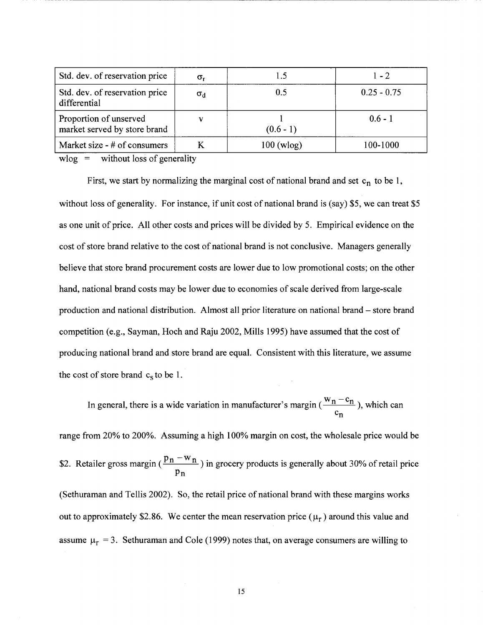| Std. dev. of reservation price                         | $\sigma_{\rm r}$ |                      | $1 - 2$       |
|--------------------------------------------------------|------------------|----------------------|---------------|
| Std. dev. of reservation price<br>differential         | $\sigma_d$       | 0.5                  | $0.25 - 0.75$ |
| Proportion of unserved<br>market served by store brand | $\mathbf{v}$     | $(0.6 - 1)$          | $0.6 - 1$     |
| Market size - # of consumers                           |                  | $100 \text{ (wlog)}$ | 100-1000      |

-----------------------------------------------

 $wlog =$  without loss of generality

First, we start by normalizing the marginal cost of national brand and set  $c_n$  to be 1, without loss of generality. For instance, if unit cost of national brand is (say) \$5, we can treat \$5 as one unit of price. All other costs and prices will be divided by 5. Empirical evidence on the cost of store brand relative to the cost of national brand is not conclusive. Managers generally believe that store brand procurement costs are lower due to low promotional costs; on the other hand, national brand costs may be lower due to economies of scale derived from large-scale production and national distribution. Almost all prior literature on national brand - store brand competition (e.g., Sayman, Hoch and Raju 2002, Mills 1995) have assumed that the cost of producing national brand and store brand are equal. Consistent with this literature, we assume the cost of store brand  $c_s$  to be 1.

In general, there is a wide variation in manufacturer's margin  $(\frac{m}{n} - n)$ , which can  $\mathrm{c_{n}}$ range from 20% to 200%. Assuming a high 100% margin on cost, the wholesale price would be \$2. Retailer gross margin ( $\frac{P n}{P}$   $\frac{m}{n}$ ) in grocery products is generally about 30% of retail price Pn (Sethuraman and Tellis 2002). So, the retail price of national brand with these margins works out to approximately \$2.86. We center the mean reservation price  $(\mu_r)$  around this value and assume  $\mu_r = 3$ . Sethuraman and Cole (1999) notes that, on average consumers are willing to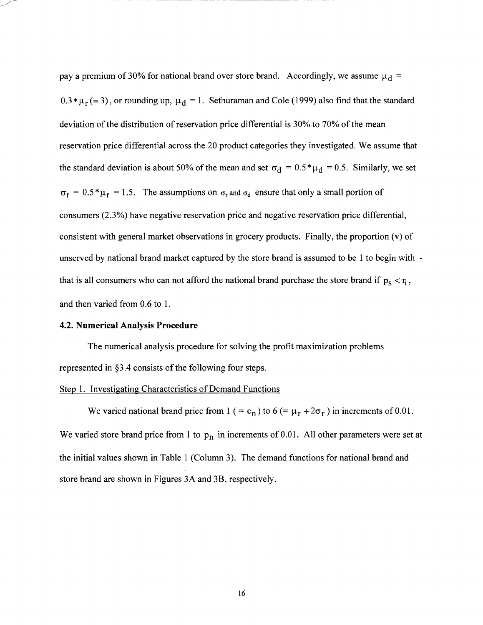pay a premium of 30% for national brand over store brand. Accordingly, we assume  $\mu_d$  =  $0.3 * \mu_r (= 3)$ , or rounding up,  $\mu_d = 1$ . Sethuraman and Cole (1999) also find that the standard deviation of the distribution of reservation price differential is 30% to 70% of the mean reservation price differential across the 20 product categories they investigated. We assume that the standard deviation is about 50% of the mean and set  $\sigma_d = 0.5^* \mu_d = 0.5$ . Similarly, we set  $\sigma_r = 0.5 * \mu_r = 1.5$ . The assumptions on  $\sigma_r$  and  $\sigma_d$  ensure that only a small portion of consumers (2.3%) have negative reservation price and negative reservation price differential, consistent with general market observations in grocery products. Finally, the proportion (v) of unserved by national brand market captured by the store brand is assumed to be **1** to begin with that is all consumers who can not afford the national brand purchase the store brand if  $p_s < r_i$ , and then varied from 0.6 to 1.

#### **4.2. Numerical Analysis Procedure**

The numerical analysis procedure for solving the profit maximization problems represented in §3.4 consists of the following four steps.

#### Step 1. Investigating Characteristics of Demand Functions

We varied national brand price from 1 ( = c<sub>n</sub>) to 6 (=  $\mu_r + 2\sigma_r$  ) in increments of 0.01. We varied store brand price from 1 to  $p_n$  in increments of 0.01. All other parameters were set at the initial values shown in Table 1 (Column 3). The demand functions for national brand and store brand are shown in Figures 3A and 3B, respectively.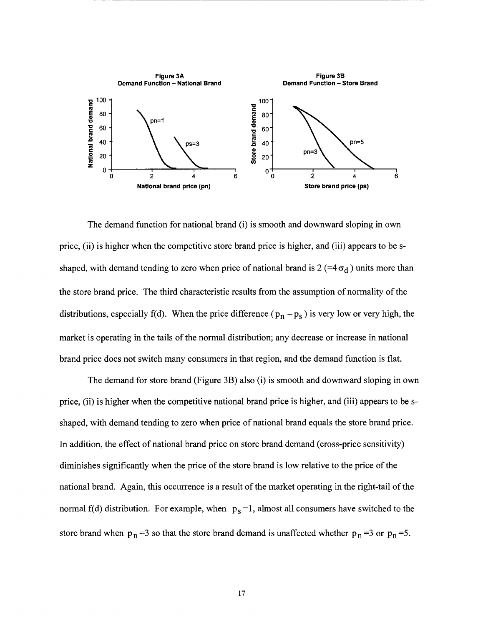

-- ------------------------------------

The demand function for national brand (i) is smooth and downward sloping in own price, (ii) is higher when the competitive store brand price is higher, and (iii) appears to be sshaped, with demand tending to zero when price of national brand is 2 (=4 $\sigma_d$ ) units more than the store brand price. The third characteristic results from the assumption of normality of the distributions, especially f(d). When the price difference ( $p_n - p_s$ ) is very low or very high, the market is operating in the tails of the normal distribution; any decrease or increase in national brand price does not switch many consumers in that region, and the demand function is flat.

The demand for store brand (Figure 3B) also (i) is smooth and downward sloping in own price, (ii) is higher when the competitive national brand price is higher, and (iii) appears to be sshaped, with demand tending to zero when price of national brand equals the store brand price. In addition, the effect of national brand price on store brand demand (cross-price sensitivity) diminishes significantly when the price of the store brand is low relative to the price ofthe national brand. Again, this occurrence is a result of the market operating in the right-tail of the normal f(d) distribution. For example, when  $p_s = 1$ , almost all consumers have switched to the store brand when  $p_n = 3$  so that the store brand demand is unaffected whether  $p_n = 3$  or  $p_n = 5$ .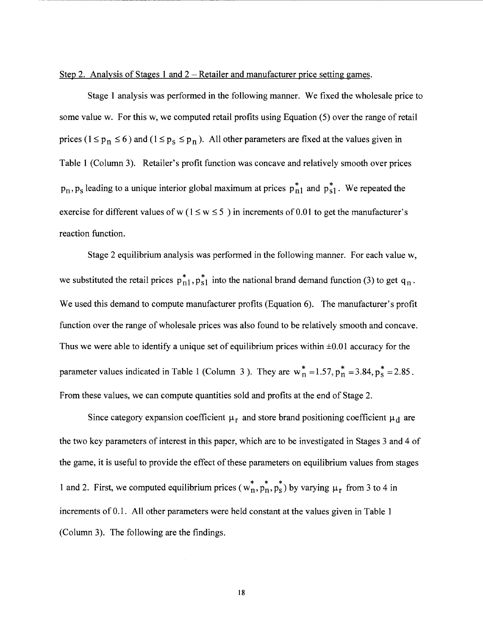# Step 2. Analysis of Stages 1 and  $2 -$  Retailer and manufacturer price setting games.

Stage 1 analysis was performed in the following manner. We fixed the wholesale price to some value w. For this w, we computed retail profits using Equation (5) over the range of retail prices ( $1 \le p_n \le 6$ ) and ( $1 \le p_s \le p_n$ ). All other parameters are fixed at the values given in Table 1 (Column 3). Retailer's profit function was concave and relatively smooth over prices  $p_n$ ,  $p_s$  leading to a unique interior global maximum at prices  $p_{n1}^*$  and  $p_{s1}^*$ . We repeated the exercise for different values of w ( $1 \le w \le 5$ ) in increments of 0.01 to get the manufacturer's reaction function.

Stage 2 equilibrium analysis was performed in the following manner. For each value w, we substituted the retail prices  $p_{n1}^*$ ,  $p_{s1}^*$  into the national brand demand function (3) to get  $q_n$ . We used this demand to compute manufacturer profits (Equation 6). The manufacturer's profit function over the range of wholesale prices was also found to be relatively smooth and concave. Thus we were able to identify a unique set of equilibrium prices within  $\pm 0.01$  accuracy for the parameter values indicated in Table 1 (Column 3). They are  $w_n^* = 1.57$ ,  $p_n^* = 3.84$ ,  $p_s^* = 2.85$ . From these values, we can compute quantities sold and profits at the end of Stage 2.

Since category expansion coefficient  $\mu_r$  and store brand positioning coefficient  $\mu_d$  are the two key parameters of interest in this paper, which are to be investigated in Stages 3 and 4 of the game, it is useful to provide the effect of these parameters on equilibrium values from stages 1 and 2. First, we computed equilibrium prices  $(w_n^*, p_n^*, p_s^*)$  by varying  $\mu_r$  from 3 to 4 in increments of 0.1. All other parameters were held constant at the values given in Table 1 (Column 3). The following are the findings.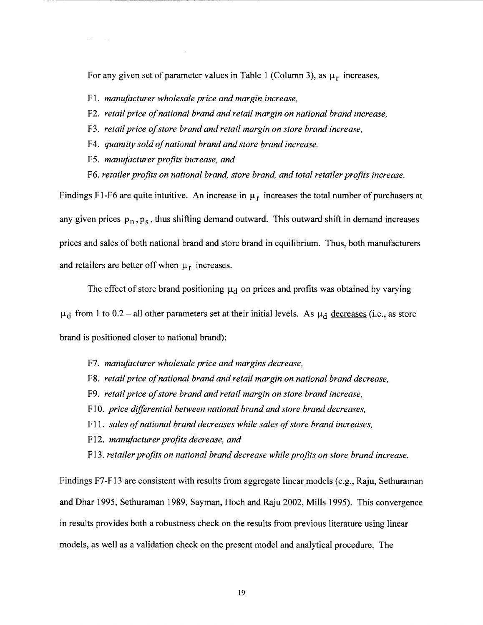For any given set of parameter values in Table 1 (Column 3), as  $\mu_r$  increases,

- Fl. *manufacturer wholesale price and margin increase,*
- F2. *retail price of national brand and retail margin on national brand increase,*
- F3. *retail price of store brand and retail margin on store brand increase,*
- F4. *quantity sold of national brand and store brand increase.*
- F5. *manufacturer profits increase, and*
- F6. *retailer profits on national brand, store brand, and total retailer profits increase.*

Findings F1-F6 are quite intuitive. An increase in  $\mu_r$  increases the total number of purchasers at any given prices  $p_n$ ,  $p_s$ , thus shifting demand outward. This outward shift in demand increases prices and sales of both national brand and store brand in equilibrium. Thus, both manufacturers and retailers are better off when  $\mu_r$  increases.

The effect of store brand positioning  $\mu_d$  on prices and profits was obtained by varying  $\mu_d$  from 1 to 0.2 – all other parameters set at their initial levels. As  $\mu_d$  decreases (i.e., as store brand is positioned closer to national brand):

- F7. *manufacturer wholesale price and margins decrease,*
- F8. *retail price of national brand and retail margin on national brand decrease,*
- F9. *retail price of store brand and retail margin on store brand increase,*
- FlO. *price differential between national brand and store brand decreases,*
- F 11. *sales of national brand decreases while sales of store brand increases,*
- Fl2. *manufacturer profits decrease, and*
- Fl3. *retailer profits on national brand decrease while profits on store brand increase.*

Findings F7-F13 are consistent with results from aggregate linear models (e.g., Raju, Sethuraman and Dhar 1995, Sethuraman 1989, Sayman, Hoch and Raju 2002, Mills 1995). This convergence in results provides both a robustness check on the results from previous literature using linear models, as well as a validation check on the present model and analytical procedure. The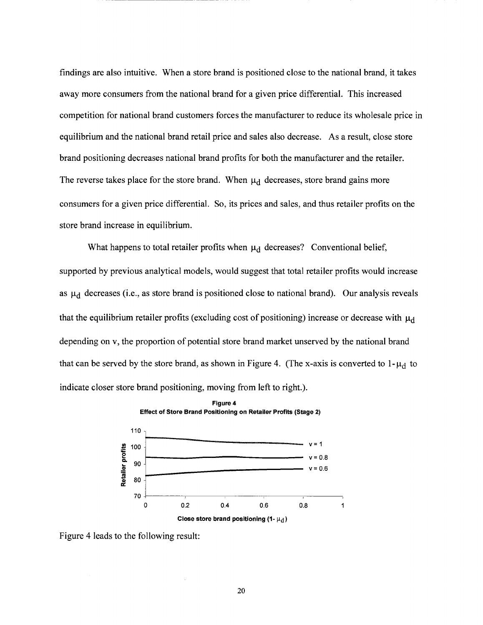findings are also intuitive. When a store brand is positioned close to the national brand, it takes away more consumers from the national brand for a given price differential. This increased competition for national brand customers forces the manufacturer to reduce its wholesale price in equilibrium and the national brand retail price and sales also decrease. As a result, close store brand positioning decreases national brand profits for both the manufacturer and the retailer. The reverse takes place for the store brand. When  $\mu_d$  decreases, store brand gains more consumers for a given price differential. So, its prices and sales, and thus retailer profits on the store brand increase in equilibrium.

----------------------

What happens to total retailer profits when  $\mu_d$  decreases? Conventional belief, supported by previous analytical models, would suggest that total retailer profits would increase as  $\mu_d$  decreases (i.e., as store brand is positioned close to national brand). Our analysis reveals that the equilibrium retailer profits (excluding cost of positioning) increase or decrease with  $\mu_d$ depending on v, the proportion of potential store brand market unserved by the national brand that can be served by the store brand, as shown in Figure 4. (The x-axis is converted to  $1-\mu_d$  to indicate closer store brand positioning, moving from left to right.).



Figure 4 leads to the following result: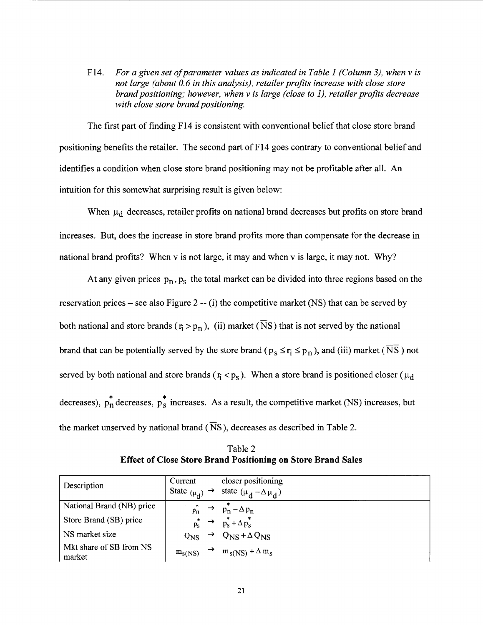F14. *For a given set of parameter values as indicated in Table I (Column 3), when vis not large (about 0.6 in this analysis), retailer profits increase with close store brand positioning; however, when vis large (close to 1), retailer profits decrease with close store brand positioning.* 

The first part of finding F14 is consistent with conventional belief that close store brand positioning benefits the retailer. The second part of  $F14$  goes contrary to conventional belief and identifies a condition when close store brand positioning may not be profitable after all. An intuition for this somewhat surprising result is given below:

When  $\mu_d$  decreases, retailer profits on national brand decreases but profits on store brand increases. But, does the increase in store brand profits more than compensate for the decrease in national brand profits? When v is not large, it may and when v is large, it may not. Why?

At any given prices  $p_n$ ,  $p_s$  the total market can be divided into three regions based on the reservation prices – see also Figure 2 -- (i) the competitive market (NS) that can be served by both national and store brands ( $r_1 > p_n$ ), (ii) market ( $\overline{N}S$ ) that is not served by the national brand that can be potentially served by the store brand ( $p_s \le r_i \le p_n$ ), and (iii) market ( $\overline{NS}$ ) not served by both national and store brands ( $r_i < p_s$ ). When a store brand is positioned closer ( $\mu_d$ decreases),  $p_n^*$  decreases,  $p_s^*$  increases. As a result, the competitive market (NS) increases, but the market unserved by national brand ( $\overline{N}S$ ), decreases as described in Table 2.

Table 2 **Effect of Close Store Brand Positioning on Store Brand Sales** 

| Description                       | Current             | closer positioning                                       |
|-----------------------------------|---------------------|----------------------------------------------------------|
|                                   | State $(\mu_d)$     | state $(\mu_d - \Delta \mu_d)$                           |
| National Brand (NB) price         | $p_n$               | $p_n^* - \Delta p_n$                                     |
| Store Brand (SB) price            | $p_S^* \rightarrow$ | $p_S^* + \Delta p_S^*$                                   |
| NS market size                    | $Q_{NS}$            | $\rightarrow$ Q <sub>NS</sub> + $\Delta$ Q <sub>NS</sub> |
| Mkt share of SB from NS<br>market | $m_S$ (NS)          | $m_S(NS) + \Delta m_S$                                   |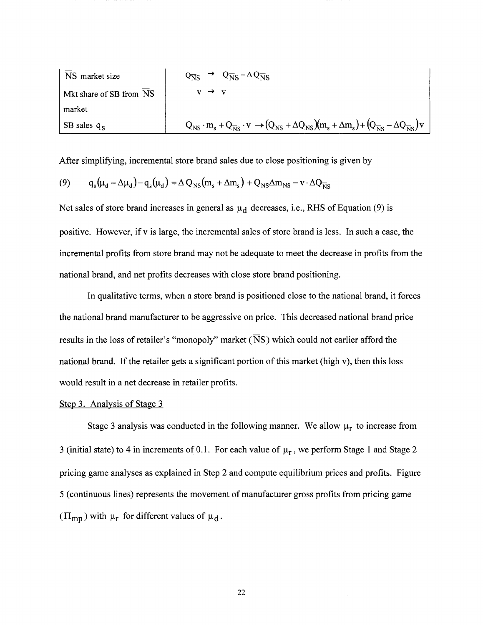| NS market size                | $Q_{\overline{N}s}$                                                                                                                                                                      | $\rightarrow Q_{\overline{N}s} - \Delta Q_{\overline{N}s}$ |
|-------------------------------|------------------------------------------------------------------------------------------------------------------------------------------------------------------------------------------|------------------------------------------------------------|
| Mark the number of SB from NS | $v \rightarrow v$                                                                                                                                                                        |                                                            |
| W                             | $v \rightarrow v$                                                                                                                                                                        |                                                            |
| W                             | $v \rightarrow v$                                                                                                                                                                        |                                                            |
| W                             | $v \rightarrow v$                                                                                                                                                                        |                                                            |
| W                             | $Q_{\overline{N}s} \cdot m_s + Q_{\overline{N}s} \cdot v \rightarrow (Q_{\overline{N}s} + \Delta Q_{\overline{N}s})(m_s + \Delta m_s) + (Q_{\overline{N}s} - \Delta Q_{\overline{N}s})v$ |                                                            |

After simplifying, incremental store brand sales due to close positioning is given by

$$
(9) \qquad q_s(\mu_d - \Delta \mu_d) - q_s(\mu_d) = \Delta Q_{NS}(m_s + \Delta m_s) + Q_{NS} \Delta m_{NS} - v \cdot \Delta Q_{NS}
$$

Net sales of store brand increases in general as  $\mu_d$  decreases, i.e., RHS of Equation (9) is positive. However, if v is large, the incremental sales of store brand is less. In such a case, the incremental profits from store brand may not be adequate to meet the decrease in profits from the national brand, and net profits decreases with close store brand positioning.

In qualitative terms, when a store brand is positioned close to the national brand, it forces the national brand manufacturer to be aggressive on price. This decreased national brand price results in the loss of retailer's "monopoly" market ( $\overline{N}S$ ) which could not earlier afford the national brand. If the retailer gets a significant portion of this market (high v), then this loss would result in a net decrease in retailer profits.

#### Step 3. Analysis of Stage 3

Stage 3 analysis was conducted in the following manner. We allow  $\mu_r$  to increase from 3 (initial state) to 4 in increments of 0.1. For each value of  $\mu_r$ , we perform Stage 1 and Stage 2 pricing game analyses as explained in Step 2 and compute equilibrium prices and profits. Figure 5 (continuous lines) represents the movement of manufacturer gross profits from pricing game  $(\Pi_{\text{mp}})$  with  $\mu_r$  for different values of  $\mu_d$ .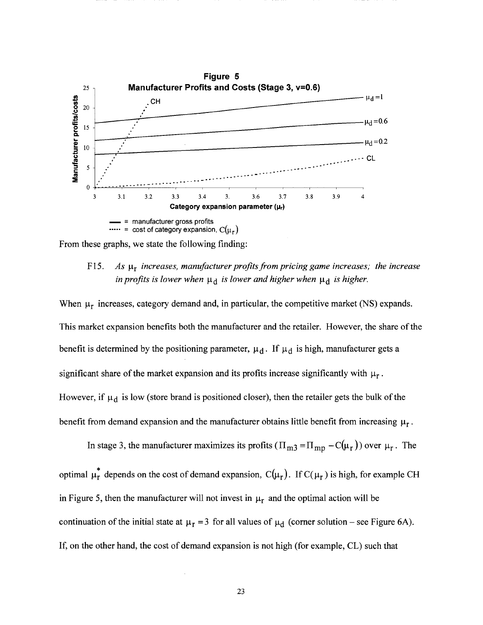

From these graphs, we state the following finding:

# F15. As  $\mu_r$  *increases, manufacturer profits from pricing game increases; the increase in profits is lower when*  $\mu_d$  *is lower and higher when*  $\mu_d$  *is higher.*

When  $\mu_r$  increases, category demand and, in particular, the competitive market (NS) expands. This market expansion benefits both the manufacturer and the retailer. However, the share of the benefit is determined by the positioning parameter,  $\mu_d$ . If  $\mu_d$  is high, manufacturer gets a significant share of the market expansion and its profits increase significantly with  $\mu_r$ . However, if  $\mu_d$  is low (store brand is positioned closer), then the retailer gets the bulk of the benefit from demand expansion and the manufacturer obtains little benefit from increasing  $\mu_r$ .

In stage 3, the manufacturer maximizes its profits  $(\Pi_{m3} = \Pi_{mp} - C(\mu_r))$  over  $\mu_r$ . The optimal  $\mu_r^*$  depends on the cost of demand expansion,  $C(\mu_r)$ . If  $C(\mu_r)$  is high, for example CH in Figure 5, then the manufacturer will not invest in  $\mu_r$  and the optimal action will be continuation of the initial state at  $\mu_r = 3$  for all values of  $\mu_d$  (corner solution – see Figure 6A). If, on the other hand, the cost of demand expansion is not high (for example, CL) such that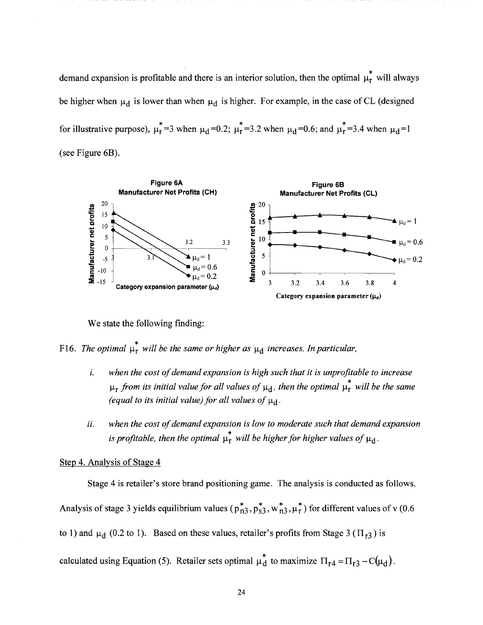demand expansion is profitable and there is an interior solution, then the optimal  $\mu_r^*$  will always be higher when  $\mu_d$  is lower than when  $\mu_d$  is higher. For example, in the case of CL (designed for illustrative purpose),  $\mu_T^* = 3$  when  $\mu_d = 0.2$ ;  $\mu_T^* = 3.2$  when  $\mu_d = 0.6$ ; and  $\mu_T^* = 3.4$  when  $\mu_d = 1$ (see Figure 6B).



We state the following finding:

F16. *The optimal*  $\mu_r^*$  *will be the same or higher as*  $\mu_d$  *increases. In particular,* 

- *i. when the cost of demand expansion is high such that it is unprofitable to increase*   $\mu_r$  *from its initial value for all values of*  $\mu_d$ , *then the optimal*  $\mu_r^*$  *will be the same (equal to its initial value) for all values of*  $\mu_d$ .
- *ii. when the cost of demand expansion is low to moderate such that demand expansion*  is profitable, then the optimal  $\mu_r^*$  will be higher for higher values of  $\mu_d$ .

# Step 4. Analysis of Stage 4

Stage 4 is retailer's store brand positioning game. The analysis is conducted as follows.

Analysis of stage 3 yields equilibrium values ( $p_{n3}^*$ ,  $p_{s3}^*$ ,  $w_{n3}^*$ ,  $\mu_r^*$ ) for different values of v (0.6

to 1) and  $\mu_d$  (0.2 to 1). Based on these values, retailer's profits from Stage 3 ( $\Pi_{r3}$ ) is

calculated using Equation (5). Retailer sets optimal  $\mu_d^*$  to maximize  $\Pi_{r4} = \Pi_{r3} - C(\mu_d)$ .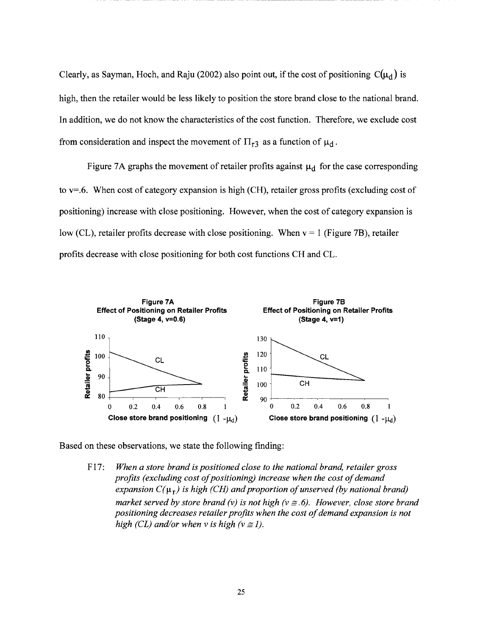Clearly, as Sayman, Hoch, and Raju (2002) also point out, if the cost of positioning  $C(\mu_d)$  is high, then the retailer would be less likely to position the store brand close to the national brand. In addition, we do not know the characteristics of the cost function. Therefore, we exclude cost from consideration and inspect the movement of  $\Pi_{r3}$  as a function of  $\mu_d$ .

Figure 7A graphs the movement of retailer profits against  $\mu_d$  for the case corresponding to v=.6. When cost of category expansion is high (CH), retailer gross profits (excluding cost of positioning) increase with close positioning. However, when the cost of category expansion is low (CL), retailer profits decrease with close positioning. When  $v = 1$  (Figure 7B), retailer profits decrease with close positioning for both cost functions CH and CL.



Based on these observations, we state the following finding:

F 17: *When a store brand is positioned close to the national brand, retailer gross profits (excluding cost of positioning) increase when the cost of demand*  expansion  $C(\mu_r)$  is high (CH) and proportion of unserved (by national brand) *market served by store brand (v) is not high (v*  $\cong$  *6). However, close store brand positioning decreases retailer profits when the cost of demand expansion is not high (CL) and/or when v is high (v*  $\cong$  *1).*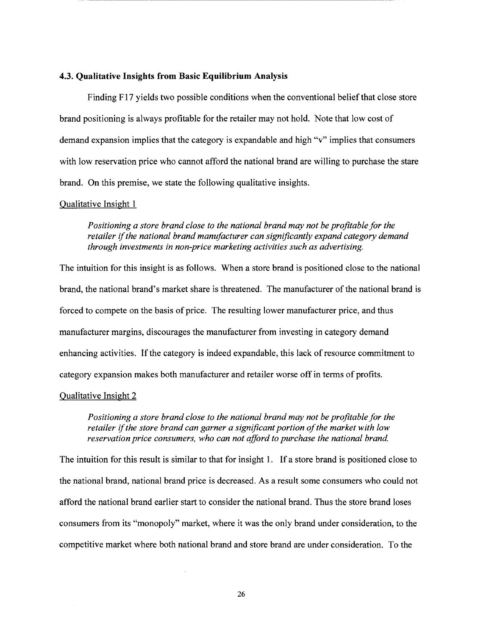# **4.3. Qualitative Insights from Basic Equilibrium Analysis**

Finding F17 yields two possible conditions when the conventional belief that close store brand positioning is always profitable for the retailer may not hold. Note that low cost of demand expansion implies that the category is expandable and high "v" implies that consumers with low reservation price who cannot afford the national brand are willing to purchase the stare brand. On this premise, we state the following qualitative insights.

#### Qualitative Insight 1

----------

*Positioning a store brand close to the national brand may not be profitable for the retailer* if *the national brand manufacturer can significantly expand category demand through investments in non-price marketing activities such as advertising.* 

The intuition for this insight is as follows. When a store brand is positioned close to the national brand, the national brand's market share is threatened. The manufacturer of the national brand is forced to compete on the basis of price. The resulting lower manufacturer price, and thus manufacturer margins, discourages the manufacturer from investing in category demand enhancing activities. If the category is indeed expandable, this lack of resource commitment to category expansion makes both manufacturer and retailer worse off in terms of profits.

#### Qualitative Insight 2

*Positioning a store brand close to the national brand may not be profitable for the retailer* if *the store brand can garner a significant portion of the market with low reservation price consumers, who can not afford to purchase the national brand.* 

The intuition for this result is similar to that for insight 1. If a store brand is positioned close to the national brand, national brand price is decreased. As a result some consumers who could not afford the national brand earlier start to consider the national brand. Thus the store brand loses consumers from its "monopoly" market, where it was the only brand under consideration, to the competitive market where both national brand and store brand are under consideration. To the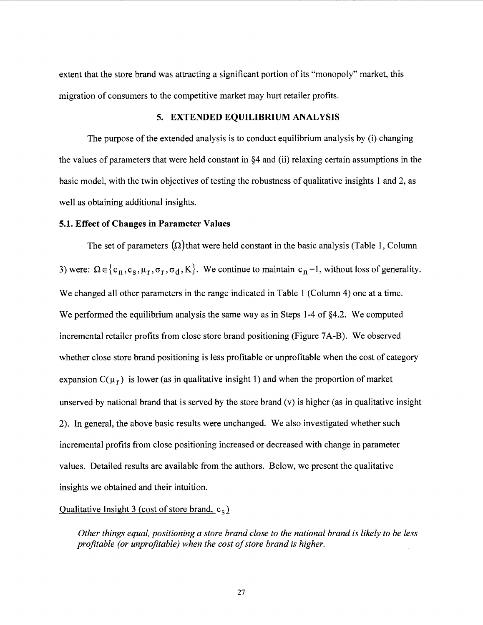extent that the store brand was attracting a significant portion of its "monopoly" market, this migration of consumers to the competitive market may hurt retailer profits.

# 5. EXTENDED EQUILIBRIUM ANALYSIS

---------------------------------------------------------------------------------------------

The purpose of the extended analysis is to conduct equilibrium analysis by (i) changing the values of parameters that were held constant in §4 and (ii) relaxing certain assumptions in the basic model, with the twin objectives of testing the robustness of qualitative insights 1 and 2, as well as obtaining additional insights.

#### 5.1. Effect of Changes in Parameter Values

The set of parameters  $(\Omega)$ that were held constant in the basic analysis (Table 1, Column 3) were:  $\Omega \in \{c_n, c_s, \mu_r, \sigma_r, \sigma_d, K\}$ . We continue to maintain  $c_n =1$ , without loss of generality. We changed all other parameters in the range indicated in Table 1 (Column 4) one at a time. We performed the equilibrium analysis the same way as in Steps 1-4 of §4.2. We computed incremental retailer profits from close store brand positioning (Figure 7A-B). We observed whether close store brand positioning is less profitable or unprofitable when the cost of category expansion  $C(\mu_r)$  is lower (as in qualitative insight 1) and when the proportion of market unserved by national brand that is served by the store brand  $(v)$  is higher (as in qualitative insight 2). In general, the above basic results were unchanged. We also investigated whether such incremental profits from close positioning increased or decreased with change in parameter values. Detailed results are available from the authors. Below, we present the qualitative insights we obtained and their intuition.

#### Qualitative Insight 3 (cost of store brand,  $c_s$ )

*Other things equal, positioning a store brand close to the national brand is likely to be less profitable (or unprofitable) when the cost of store brand is higher.*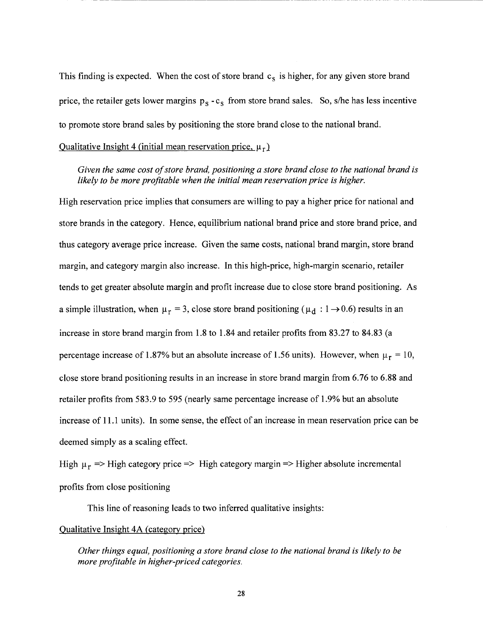This finding is expected. When the cost of store brand  $c_s$  is higher, for any given store brand price, the retailer gets lower margins  $p_s - c_s$  from store brand sales. So, s/he has less incentive to promote store brand sales by positioning the store brand close to the national brand.

# Qualitative Insight 4 (initial mean reservation price,  $\mu_r$ )

*Given the same cost of store brand, positioning a store brand close to the national brand is likely to be more profitable when the initial mean reservation price is higher.* 

High reservation price implies that consumers are willing to pay a higher price for national and store brands in the category. Hence, equilibrium national brand price and store brand price, and thus category average price increase. Given the same costs, national brand margin, store brand margin, and category margin also increase. In this high-price, high-margin scenario, retailer tends to get greater absolute margin and profit increase due to close store brand positioning. As a simple illustration, when  $\mu_r = 3$ , close store brand positioning ( $\mu_d : 1 \rightarrow 0.6$ ) results in an increase in store brand margin from 1.8 to 1.84 and retailer profits from 83.27 to 84.83 (a percentage increase of 1.87% but an absolute increase of 1.56 units). However, when  $\mu_r = 10$ , close store brand positioning results in an increase in store brand margin from 6.76 to 6.88 and retailer profits from 583.9 to 595 (nearly same percentage increase of 1.9% but an absolute increase of 11.1 units). In some sense, the effect of an increase in mean reservation price can be deemed simply as a scaling effect.

High  $\mu_r$  => High category price => High category margin => Higher absolute incremental profits from close positioning

This line of reasoning leads to two inferred qualitative insights:

#### Qualitative Insight 4A (category price)

*Other things equal, positioning a store brand close to the national brand is likely to be more profitable in higher-priced categories.*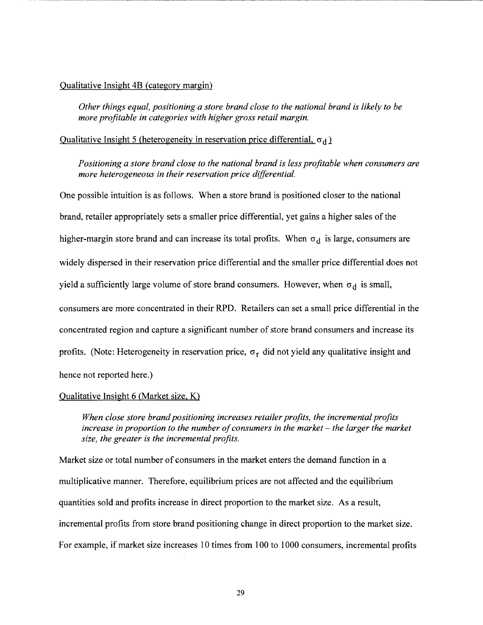#### Qualitative Insight 4B (category margin)

*Other things equal, positioning a store brand close to the national brand is likely to be more profitable in categories with higher gross retail margin.* 

- -- ----·------------------------------------------

# Qualitative Insight 5 (heterogeneity in reservation price differential,  $\sigma_d$ )

*Positioning a store brand close to the national brand is less profitable when consumers are more heterogeneous in their reservation price differential.* 

One possible intuition is as follows. When a store brand is positioned closer to the national brand, retailer appropriately sets a smaller price differential, yet gains a higher sales of the higher-margin store brand and can increase its total profits. When  $\sigma_d$  is large, consumers are widely dispersed in their reservation price differential and the smaller price differential does not yield a sufficiently large volume of store brand consumers. However, when  $\sigma_d$  is small, consumers are more concentrated in their RPD. Retailers can set a small price differential in the concentrated region and capture a significant number of store brand consumers and increase its profits. (Note: Heterogeneity in reservation price,  $\sigma_r$  did not yield any qualitative insight and hence not reported here.)

#### Qualitative Insight 6 (Market size, K)

*When close store brand positioning increases retailer profits, the incremental profits increase in proportion to the number of consumers in the market- the larger the market size, the greater is the incremental profits.* 

Market size or total number of consumers in the market enters the demand function in a multiplicative manner. Therefore, equilibrium prices are not affected and the equilibrium quantities sold and profits increase in direct proportion to the market size. As a result, incremental profits from store brand positioning change in direct proportion to the market size. For example, if market size increases 10 times from 100 to 1000 consumers, incremental profits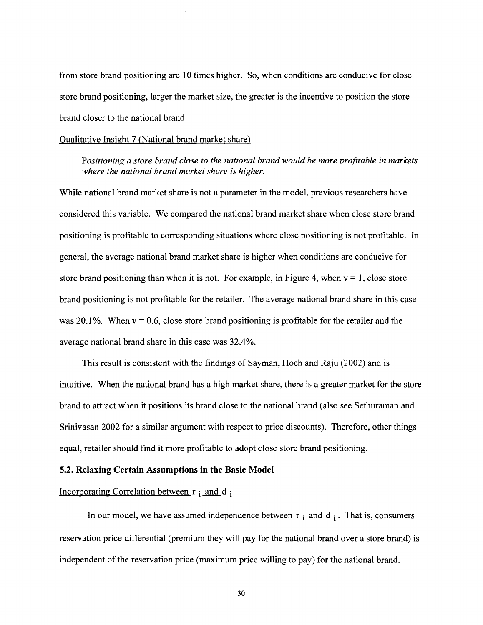from store brand positioning are 10 times higher. So, when conditions are conducive for close store brand positioning, larger the market size, the greater is the incentive to position the store brand closer to the national brand.

#### Qualitative Insight 7 (National brand market share)

*Positioning a store brand close to the national brand would be more profitable in markets where the national brand market share is higher.* 

While national brand market share is not a parameter in the model, previous researchers have considered this variable. We compared the national brand market share when close store brand positioning is profitable to corresponding situations where close positioning is not profitable. In general, the average national brand market share is higher when conditions are conducive for store brand positioning than when it is not. For example, in Figure 4, when  $v = 1$ , close store brand positioning is not profitable for the retailer. The average national brand share in this case was 20.1%. When  $v = 0.6$ , close store brand positioning is profitable for the retailer and the average national brand share in this case was 32.4%.

This result is consistent with the findings of Sayman, Hoch and Raju (2002) and is intuitive. When the national brand has a high market share, there is a greater market for the store brand to attract when it positions its brand close to the national brand (also see Sethuraman and Srinivasan 2002 for a similar argument with respect to price discounts). Therefore, other things equal, retailer should find it more profitable to adopt close store brand positioning.

#### **5.2. Relaxing Certain Assumptions in the Basic Model**

# Incorporating Correlation between r i and d i

In our model, we have assumed independence between  $r_i$  and  $d_i$ . That is, consumers reservation price differential (premium they will pay for the national brand over a store brand) is independent of the reservation price (maximum price willing to pay) for the national brand.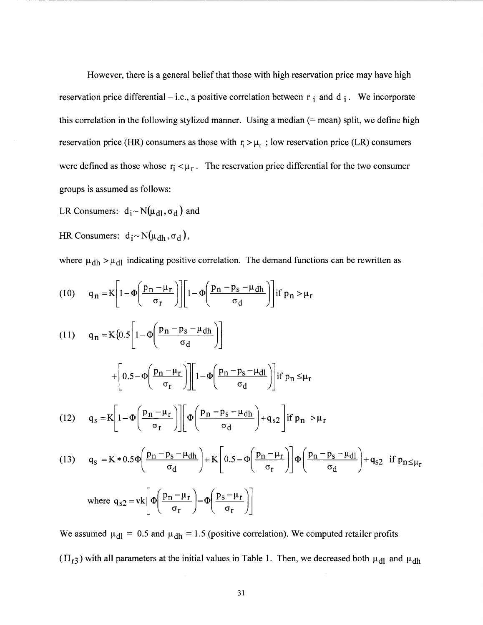However, there is a general belief that those with high reservation price may have high reservation price differential – i.e., a positive correlation between  $r_i$  and d; We incorporate this correlation in the following stylized manner. Using a median(= mean) split, we define high reservation price (HR) consumers as those with  $r_i > \mu_r$ ; low reservation price (LR) consumers were defined as those whose  $r_i < \mu_r$ . The reservation price differential for the two consumer groups is assumed as follows:

-------------------------------------------------------

LR Consumers:  $d_i \sim N(\mu_{d1}, \sigma_d)$  and

HR Consumers:  $d_i \sim N(\mu_{dh}, \sigma_d)$ ,

where  $\mu_{dh} > \mu_{dl}$  indicating positive correlation. The demand functions can be rewritten as

(10) 
$$
q_n = K \left[ 1 - \Phi \left( \frac{p_n - \mu_r}{\sigma_r} \right) \right] \left[ 1 - \Phi \left( \frac{p_n - p_s - \mu_{dh}}{\sigma_d} \right) \right] \text{if } p_n > \mu_r
$$

(11) 
$$
q_{n} = K \{ 0.5 \left[ 1 - \Phi \left( \frac{p_{n} - p_{s} - \mu_{dh}}{\sigma_{d}} \right) \right]
$$

$$
+ \left[ 0.5 - \Phi \left( \frac{p_{n} - \mu_{r}}{\sigma_{r}} \right) \right] \left[ 1 - \Phi \left( \frac{p_{n} - p_{s} - \mu_{dl}}{\sigma_{d}} \right) \right] \text{if } p_{n} \leq \mu_{r}
$$
  
(12) 
$$
q_{s} = K \left[ 1 - \Phi \left( \frac{p_{n} - \mu_{r}}{\sigma_{r}} \right) \right] \left[ \Phi \left( \frac{p_{n} - p_{s} - \mu_{dh}}{\sigma_{d}} \right) + q_{s2} \right] \text{if } p_{n} > \mu_{r}
$$

(13) 
$$
q_{s} = K * 0.5 \Phi \left( \frac{p_{n} - p_{s} - \mu_{dh}}{\sigma_{d}} \right) + K \left[ 0.5 - \Phi \left( \frac{p_{n} - \mu_{r}}{\sigma_{r}} \right) \right] \Phi \left( \frac{p_{n} - p_{s} - \mu_{dl}}{\sigma_{d}} \right) + q_{s2} \text{ if } p_{n \leq \mu_{r}}
$$
  
where  $q_{s2} = vk \left[ \Phi \left( \frac{p_{n} - \mu_{r}}{\sigma_{r}} \right) - \Phi \left( \frac{p_{s} - \mu_{r}}{\sigma_{r}} \right) \right]$ 

We assumed  $\mu_{dl} = 0.5$  and  $\mu_{dh} = 1.5$  (positive correlation). We computed retailer profits  $(\Pi_{r3})$  with all parameters at the initial values in Table 1. Then, we decreased both  $\mu_{d1}$  and  $\mu_{dh}$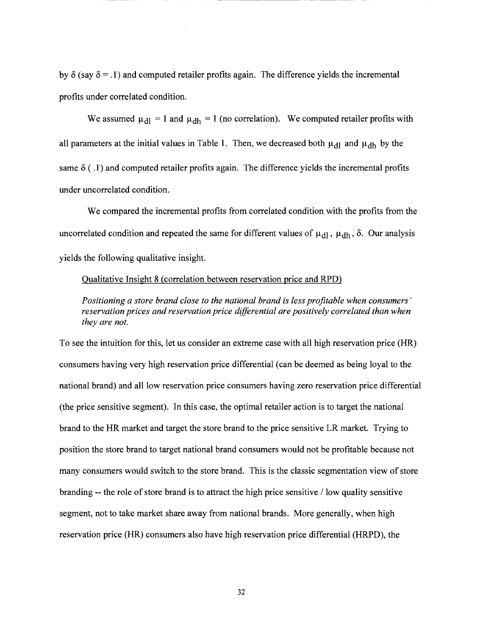by  $\delta$  (say  $\delta = 0.1$ ) and computed retailer profits again. The difference yields the incremental profits under correlated condition.

We assumed  $\mu_{\text{dl}} = 1$  and  $\mu_{\text{dh}} = 1$  (no correlation). We computed retailer profits with all parameters at the initial values in Table 1. Then, we decreased both  $\mu_{d1}$  and  $\mu_{dh}$  by the same  $\delta$  (.1) and computed retailer profits again. The difference yields the incremental profits under uncorrelated condition.

We compared the incremental profits from correlated condition with the profits from the uncorrelated condition and repeated the same for different values of  $\mu_{d1}$ ,  $\mu_{dh}$ ,  $\delta$ . Our analysis yields the following qualitative insight.

# Qualitative Insight 8 (correlation between reservation price and RPD)

*Positioning a store brand close to the national brand is less profitable when consumers' reservation prices and reservation price differential are positively correlated than when they are not.* 

To see the intuition for this, let us consider an extreme case with all high reservation price (HR) consumers having very high reservation price differential (can be deemed as being loyal to the national brand) and all low reservation price consumers having zero reservation price differential (the price sensitive segment). In this case, the optimal retailer action is to target the national brand to the HR market and target the store brand to the price sensitive LR market. Trying to position the store brand to target national brand consumers would not be profitable because not many consumers would switch to the store brand. This is the classic segmentation view of store branding  $-$ - the role of store brand is to attract the high price sensitive  $\ell$  low quality sensitive segment, not to take market share away from national brands. More generally, when high reservation price (HR) consumers also have high reservation price differential (HRPD), the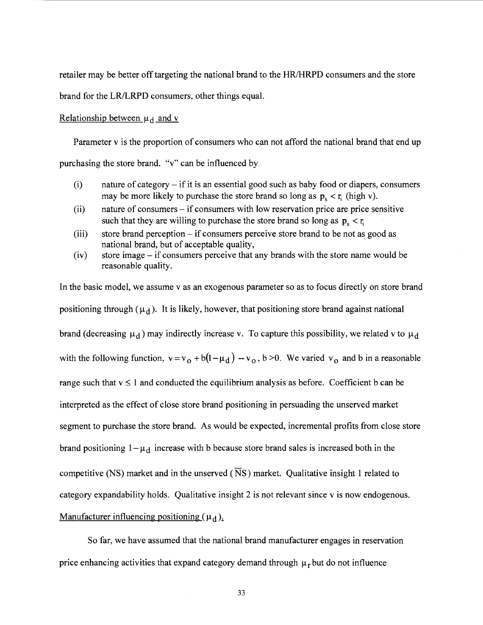retailer may be better off targeting the national brand to the HR/HRPD consumers and the store

brand for the LR/LRPD consumers, other things equal.

#### Relationship between  $\mu_d$  and v

Parameter v is the proportion of consumers who can not afford the national brand that end up purchasing the store brand. "v" can be influenced by

- (i) nature of category if it is an essential good such as baby food or diapers, consumers may be more likely to purchase the store brand so long as  $p_s < r_i$  (high v).
- (ii) nature of consumers if consumers with low reservation price are price sensitive such that they are willing to purchase the store brand so long as  $p_s < r_i$
- (iii) store brand perception if consumers perceive store brand to be not as good as national brand, but of acceptable quality,
- (iv) store image- if consumers perceive that any brands with the store name would be reasonable quality.

In the basic model, we assume v as an exogenous parameter so as to focus directly on store brand positioning through ( $\mu_d$ ). It is likely, however, that positioning store brand against national brand (decreasing  $\mu_d$ ) may indirectly increase v. To capture this possibility, we related v to  $\mu_d$ with the following function,  $v = v_0 + b(1-\mu_d) - v_0$ ,  $b > 0$ . We varied  $v_0$  and b in a reasonable range such that  $v \le 1$  and conducted the equilibrium analysis as before. Coefficient b can be interpreted as the effect of close store brand positioning in persuading the unserved market segment to purchase the store brand. As would be expected, incremental profits from close store brand positioning  $1-\mu_d$  increase with b because store brand sales is increased both in the competitive (NS) market and in the unserved ( $\overline{N}S$ ) market. Qualitative insight 1 related to category expandability holds. Qualitative insight 2 is not relevant since v is now endogenous. Manufacturer influencing positioning  $(\mu_d)$ .

So far, we have assumed that the national brand manufacturer engages in reservation price enhancing activities that expand category demand through  $\mu_r$  but do not influence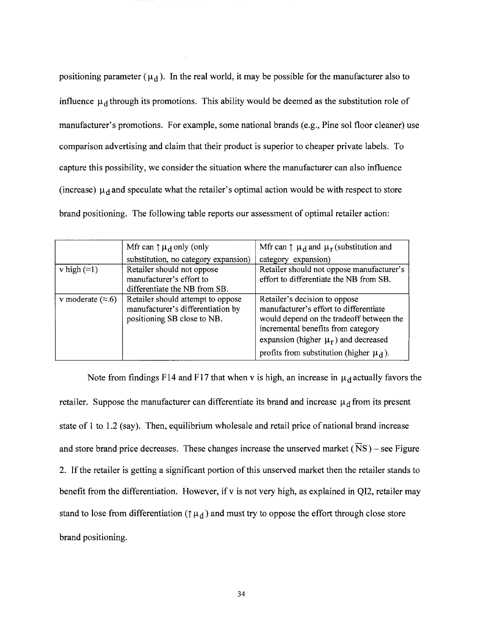positioning parameter ( $\mu_d$ ). In the real world, it may be possible for the manufacturer also to influence  $\mu_d$  through its promotions. This ability would be deemed as the substitution role of manufacturer's promotions. For example, some national brands (e.g., Pine sol floor cleaner) use comparison advertising and claim that their product is superior to cheaper private labels. To capture this possibility, we consider the situation where the manufacturer can also influence (increase)  $\mu_d$  and speculate what the retailer's optimal action would be with respect to store brand positioning. The following table reports our assessment of optimal retailer action:

|                          | Mfr can $\uparrow \mu_d$ only (only                                                                   | Mfr can $\uparrow \mu_d$ and $\mu_r$ (substitution and                                                                                                                                                                                                 |
|--------------------------|-------------------------------------------------------------------------------------------------------|--------------------------------------------------------------------------------------------------------------------------------------------------------------------------------------------------------------------------------------------------------|
|                          | substitution, no category expansion)                                                                  | category expansion)                                                                                                                                                                                                                                    |
| v high $(\approx 1)$     | Retailer should not oppose                                                                            | Retailer should not oppose manufacturer's                                                                                                                                                                                                              |
|                          | manufacturer's effort to                                                                              | effort to differentiate the NB from SB.                                                                                                                                                                                                                |
|                          | differentiate the NB from SB.                                                                         |                                                                                                                                                                                                                                                        |
| v moderate $(\approx 6)$ | Retailer should attempt to oppose<br>manufacturer's differentiation by<br>positioning SB close to NB. | Retailer's decision to oppose<br>manufacturer's effort to differentiate<br>would depend on the tradeoff between the<br>incremental benefits from category<br>expansion (higher $\mu_r$ ) and decreased<br>profits from substitution (higher $\mu_d$ ). |

Note from findings F14 and F17 that when v is high, an increase in  $\mu_d$  actually favors the retailer. Suppose the manufacturer can differentiate its brand and increase  $\mu_d$  from its present state of 1 to 1.2 (say). Then, equilibrium wholesale and retail price of national brand increase and store brand price decreases. These changes increase the unserved market ( $\overline{NS}$ ) – see Figure 2. If the retailer is getting a significant portion of this unserved market then the retailer stands to benefit from the differentiation. However, if v is not very high, as explained in QI2, retailer may stand to lose from differentiation ( $\uparrow \mu_d$ ) and must try to oppose the effort through close store brand positioning.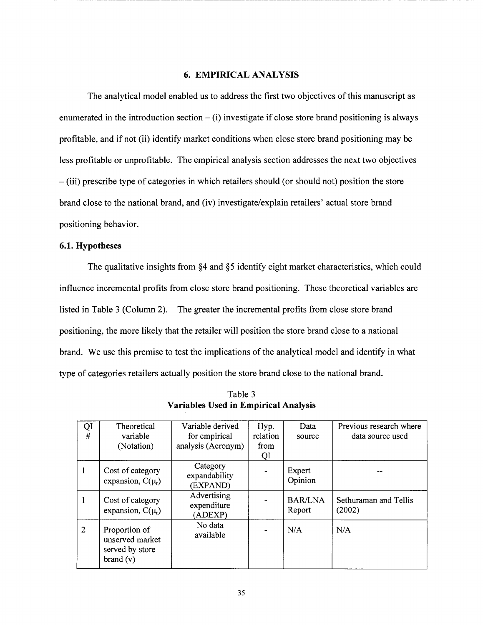#### 6. EMPIRICAL ANALYSIS

The analytical model enabled us to address the first two objectives of this manuscript as enumerated in the introduction section  $-$  (i) investigate if close store brand positioning is always profitable, and if not (ii) identify market conditions when close store brand positioning may be less profitable or unprofitable. The empirical analysis section addresses the next two objectives -(iii) prescribe type of categories in which retailers should (or should not) position the store brand close to the national brand, and (iv) investigate/explain retailers' actual store brand positioning behavior.

# 6.1. Hypotheses

The qualitative insights from §4 and §5 identify eight market characteristics, which could influence incremental profits from close store brand positioning. These theoretical variables are listed in Table 3 (Column 2). The greater the incremental profits from close store brand positioning, the more likely that the retailer will position the store brand close to a national brand. We use this premise to test the implications of the analytical model and identify in what type of categories retailers actually position the store brand close to the national brand.

| QI<br>$\#$     | Theoretical<br>variable<br>(Notation)                           | Variable derived<br>for empirical<br>analysis (Acronym) | Hyp.<br>relation<br>from<br>QI | Data<br>source           | Previous research where<br>data source used |
|----------------|-----------------------------------------------------------------|---------------------------------------------------------|--------------------------------|--------------------------|---------------------------------------------|
|                | Cost of category<br>expansion, $C(\mu_r)$                       | Category<br>expandability<br>(EXPAND)                   |                                | Expert<br>Opinion        |                                             |
|                | Cost of category<br>expansion, $C(\mu_r)$                       | Advertising<br>expenditure<br>(ADEXP)                   |                                | <b>BAR/LNA</b><br>Report | Sethuraman and Tellis<br>(2002)             |
| $\overline{2}$ | Proportion of<br>unserved market<br>served by store<br>brand(v) | No data<br>available                                    |                                | N/A                      | N/A                                         |

Table 3 Variables Used in Empirical Analysis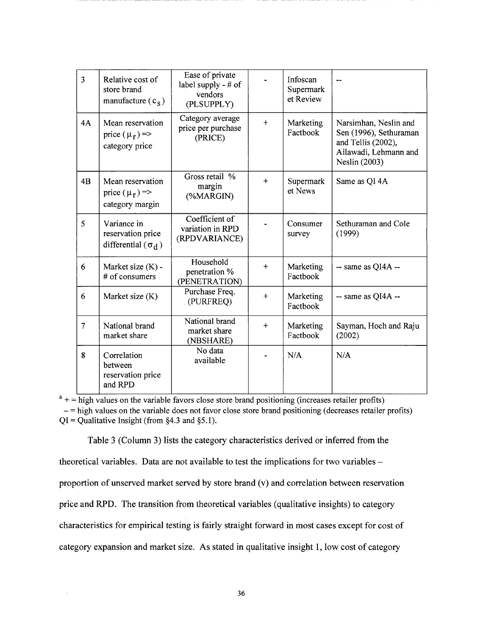| $\overline{3}$ | Relative cost of<br>store brand<br>manufacture $(c_s)$          | Ease of private<br>label supply - # of<br>vendors<br>(PLSUPPLY) |           | Infoscan<br>Supermark<br>et Review |                                                                                                                 |
|----------------|-----------------------------------------------------------------|-----------------------------------------------------------------|-----------|------------------------------------|-----------------------------------------------------------------------------------------------------------------|
| 4A             | Mean reservation<br>price $(\mu_r)$ =><br>category price        | Category average<br>price per purchase<br>(PRICE)               | $+$       | Marketing<br>Factbook              | Narsimhan, Neslin and<br>Sen (1996), Sethuraman<br>and Tellis (2002),<br>Ailawadi, Lehmann and<br>Neslin (2003) |
| 4B             | Mean reservation<br>price $(\mu_r)$ =><br>category margin       | Gross retail %<br>margin<br>(%MARGIN)                           | $+$       | Supermark<br>et News               | Same as QI 4A                                                                                                   |
| 5              | Variance in<br>reservation price<br>differential ( $\sigma_d$ ) | Coefficient of<br>variation in RPD<br>(RPDVARIANCE)             |           | Consumer<br>survey                 | Sethuraman and Cole<br>(1999)                                                                                   |
| 6              | Market size (K) -<br># of consumers                             | Household<br>penetration %<br>(PENETRATION)                     | $+$       | Marketing<br>Factbook              | $-$ same as QI4A $-$                                                                                            |
| 6              | Market size (K)                                                 | Purchase Freq.<br>(PURFREQ)                                     | $\ddot{}$ | Marketing<br>Factbook              | $-$ same as QI4A $-$                                                                                            |
| 7              | National brand<br>market share                                  | National brand<br>market share<br>(NBSHARE)                     | $+$       | Marketing<br>Factbook              | Sayman, Hoch and Raju<br>(2002)                                                                                 |
| 8              | Correlation<br>between<br>reservation price<br>and RPD          | No data<br>available                                            |           | N/A                                | N/A                                                                                                             |

 $a_{+}$  = high values on the variable favors close store brand positioning (increases retailer profits)  $-$ = high values on the variable does not favor close store brand positioning (decreases retailer profits)  $QI =$ Qualitative Insight (from §4.3 and §5.1).

Table 3 (Column 3) lists the category characteristics derived or inferred from the theoretical variables. Data are not available to test the implications for two variables  $$ proportion of unserved market served by store brand (v) and correlation between reservation price and RPD. The transition from theoretical variables (qualitative insights) to category characteristics for empirical testing is fairly straight forward in most cases except for cost of category expansion and market size. As stated in qualitative insight 1, low cost of category

 $\overline{\phantom{a}}$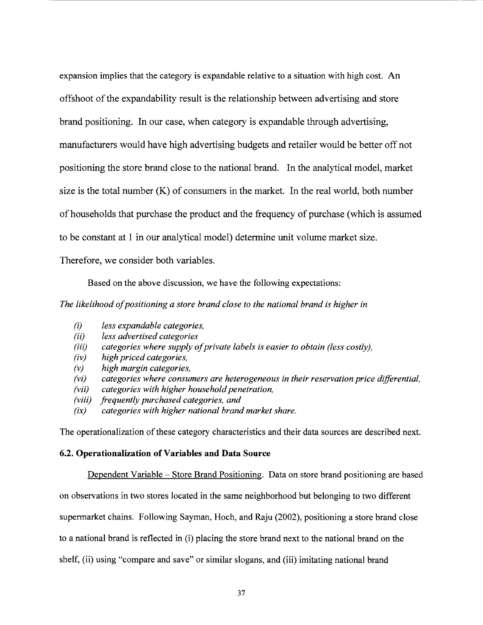expansion implies that the category is expandable relative to a situation with high cost. An offshoot of the expandability result is the relationship between advertising and store brand positioning. In our case, when category is expandable through advertising, manufacturers would have high advertising budgets and retailer would be better off not positioning the store brand close to the national brand. In the analytical model, market size is the total number  $(K)$  of consumers in the market. In the real world, both number of households that purchase the product and the frequency of purchase (which is assumed to be constant at 1 in our analytical model) determine unit volume market size.

-----------------------------------------------

Therefore, we consider both variables.

Based on the above discussion, we have the following expectations:

*The likelihood of positioning a store brand close to the national brand is higher in* 

- *(i) less expandable categories,*
- *(ii) less advertised categories*
- *(iii) categories where supply of private labels is easier to obtain (less costly),*
- *(iv) high priced categories,*
- *(v) high margin categories,*
- *(vi) categories where consumers are heterogeneous in their reservation price differential,*
- *(vii) categories with higher household penetration,*
- *(viii) frequently purchased categories, and*
- *(ix) categories with higher national brand market share.*

The operationalization of these category characteristics and their data sources are described next.

#### 6.2. **Operationalization of Variables and Data Source**

Dependent Variable - Store Brand Positioning. Data on store brand positioning are based on observations in two stores located in the same neighborhood but belonging to two different supermarket chains. Following Sayman, Hoch, and Raju (2002), positioning a store brand close to a national brand is reflected in (i) placing the store brand next to the national brand on the shelf, (ii) using "compare and save" or similar slogans, and (iii) imitating national brand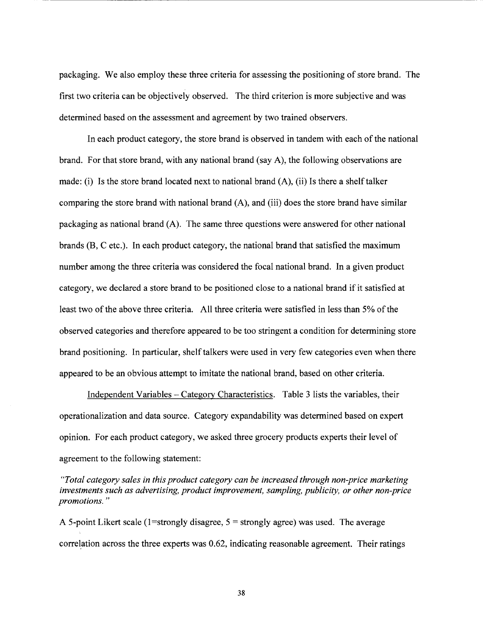packaging. We also employ these three criteria for assessing the positioning of store brand. The first two criteria can be objectively observed. The third criterion is more subjective and was determined based on the assessment and agreement by two trained observers.

In each product category, the store brand is observed in tandem with each of the national brand. For that store brand, with any national brand (say A), the following observations are made: (i) Is the store brand located next to national brand (A), (ii) Is there a shelf talker comparing the store brand with national brand (A), and (iii) does the store brand have similar packaging as national brand (A). The same three questions were answered for other national brands (B, C etc.). In each product category, the national brand that satisfied the maximum number among the three criteria was considered the focal national brand. In a given product category, we declared a store brand to be positioned close to a national brand if it satisfied at least two of the above three criteria. All three criteria were satisfied in less than 5% of the observed categories and therefore appeared to be too stringent a condition for determining store brand positioning. In particular, shelf talkers were used in very few categories even when there appeared to be an obvious attempt to imitate the national brand, based on other criteria.

Independent Variables - Category Characteristics. Table 3 lists the variables, their operationalization and data source. Category expandability was determined based on expert opinion. For each product category, we asked three grocery products experts their level of agreement to the following statement:

*"Total category sales in this product category can be increased through non-price marketing investments such as advertising, product improvement, sampling, publicity, or other non-price promotions.* "

A 5-point Likert scale (1=strongly disagree,  $5 =$ strongly agree) was used. The average correlation across the three experts was 0.62, indicating reasonable agreement. Their ratings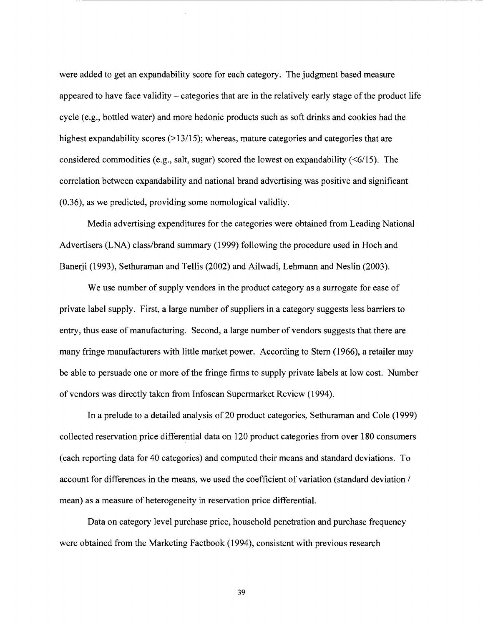were added to get an expandability score for each category. The judgment based measure appeared to have face validity – categories that are in the relatively early stage of the product life cycle (e.g., bottled water) and more hedonic products such as soft drinks and cookies had the highest expandability scores  $(>13/15)$ ; whereas, mature categories and categories that are considered commodities (e.g., salt, sugar) scored the lowest on expandability  $(\leq 6/15)$ . The correlation between expandability and national brand advertising was positive and significant (0.36), as we predicted, providing some nomological validity.

--------------

Media advertising expenditures for the categories were obtained from Leading National Advertisers (LNA) class/brand summary (1999) following the procedure used in Hoch and Banerji (1993), Sethuraman and Tellis (2002) and Ailwadi, Lehmann and Neslin (2003).

We use number of supply vendors in the product category as a surrogate for ease of private label supply. First, a large number of suppliers in a category suggests less barriers to entry, thus ease of manufacturing. Second, a large number of vendors suggests that there are many fringe manufacturers with little market power. According to Stem (1966), a retailer may be able to persuade one or more of the fringe firms to supply private labels at low cost. Number of vendors was directly taken from Infoscan Supermarket Review (1994).

In a prelude to a detailed analysis of 20 product categories, Sethuraman and Cole (1999) collected reservation price differential data on 120 product categories from over 180 consumers (each reporting data for 40 categories) and computed their means and standard deviations. To account for differences in the means, we used the coefficient of variation (standard deviation / mean) as a measure of heterogeneity in reservation price differential.

Data on category level purchase price, household penetration and purchase frequency were obtained from the Marketing Factbook (1994), consistent with previous research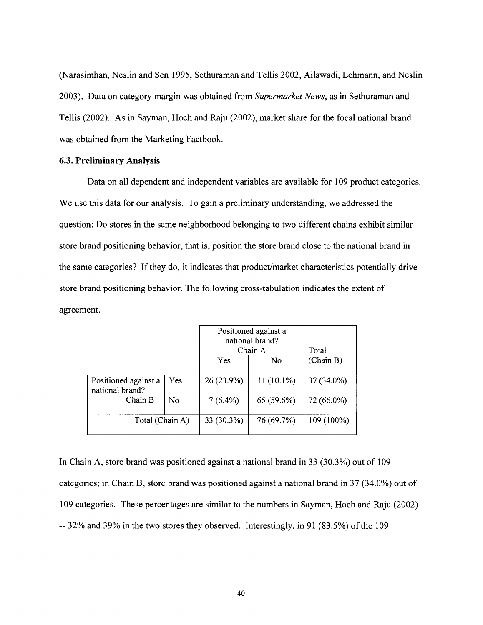(Narasimhan, Neslin and Sen 1995, Sethuraman and Tellis 2002, Ailawadi, Lehmann, and Neslin 2003). Data on category margin was obtained from *Supermarket News,* as in Sethuraman and Tellis (2002). As in Sayman, Hoch and Raju (2002), market share for the focal national brand was obtained from the Marketing Factbook.

-------------------------------- ----- -------

#### **6.3. Preliminary Analysis**

Data on all dependent and independent variables are available for 109 product categories. We use this data for our analysis. To gain a preliminary understanding, we addressed the question: Do stores in the same neighborhood belonging to two different chains exhibit similar store brand positioning behavior, that is, position the store brand close to the national brand in the same categories? If they do, it indicates that product/market characteristics potentially drive store brand positioning behavior. The following cross-tabulation indicates the extent of agreement.

|                                         |     | Positioned against a<br>national brand?<br>Chain A |              | Total      |
|-----------------------------------------|-----|----------------------------------------------------|--------------|------------|
|                                         |     | Yes                                                | No           | (Chain B)  |
| Positioned against a<br>national brand? | Yes | 26 (23.9%)                                         | $11(10.1\%)$ | 37 (34.0%) |
| Chain B                                 | No  | $7(6.4\%)$                                         | 65 (59.6%)   | 72 (66.0%) |
| Total (Chain A)                         |     | 33 (30.3%)                                         | 76 (69.7%)   | 109 (100%) |

In Chain A, store brand was positioned against a national brand in 33 (30.3%) out of 109 categories; in Chain B, store brand was positioned against a national brand in 37 (34.0%) out of 109 categories. These percentages are similar to the numbers in Sayman, Hoch and Raju (2002) -- 32% and 39% in the two stores they observed. Interestingly, in 91 (83.5%) of the 109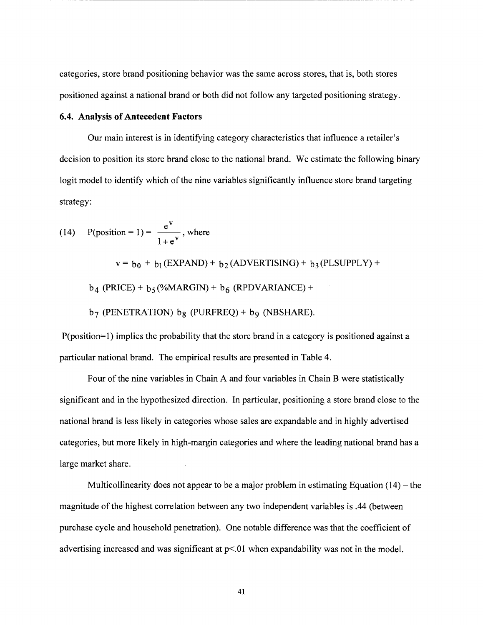categories, store brand positioning behavior was the same across stores, that is, both stores positioned against a national brand or both did not follow any targeted positioning strategy.

-----------------------------------

# **6.4. Analysis of Antecedent Factors**

Our main interest is in identifying category characteristics that influence a retailer's decision to position its store brand close to the national brand. We estimate the following binary logit model to identify which of the nine variables significantly influence store brand targeting strategy:

(14) P(position = 1) = 
$$
\frac{e^{v}}{1 + e^{v}}
$$
, where

 $v = b_0 + b_1$  (EXPAND) +  $b_2$  (ADVERTISING) +  $b_3$  (PLSUPPLY) +

 $b_4$  (PRICE) +  $b_5$  (%MARGIN) +  $b_6$  (RPDVARIANCE) +

 $b_7$  (PENETRATION)  $b_8$  (PURFREQ) +  $b_9$  (NBSHARE).

P(position=l) implies the probability that the store brand in a category is positioned against a particular national brand. The empirical results are presented in Table 4.

Four of the nine variables in Chain A and four variables in Chain B were statistically significant and in the hypothesized direction. In particular, positioning a store brand close to the national brand is less likely in categories whose sales are expandable and in highly advertised categories, but more likely in high-margin categories and where the leading national brand has a large market share.

Multicollinearity does not appear to be a major problem in estimating Equation  $(14)$  – the magnitude of the highest correlation between any two independent variables is .44 (between purchase cycle and household penetration). One notable difference was that the coefficient of advertising increased and was significant at  $p<01$  when expandability was not in the model.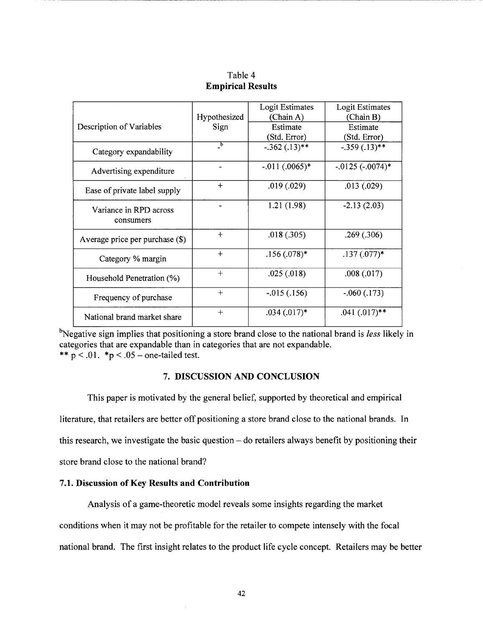|                                     | Hypothesized                           | Logit Estimates<br>(Chain A) | <b>Logit Estimates</b><br>(Chain B) |
|-------------------------------------|----------------------------------------|------------------------------|-------------------------------------|
| Description of Variables            | Sign                                   | Estimate<br>(Std. Error)     | Estimate<br>(Std. Error)            |
| Category expandability              | $\overline{\phantom{a}}^{\phantom{a}}$ | $-.362(.13)**$               | $-.359(.13)$ **                     |
| Advertising expenditure             |                                        | $-.011(.0065)*$              | $-0.0125$ $(-0.0074)$ *             |
| Ease of private label supply        | $+$                                    | .019(.029)                   | .013(.029)                          |
| Variance in RPD across<br>consumers |                                        | 1.21(1.98)                   | $-2.13(2.03)$                       |
| Average price per purchase (\$)     | $+$                                    | .018(.305)                   | .269(.306)                          |
| Category % margin                   | $+$                                    | $.156(.078)*$                | $.137(.077)$ *                      |
| Household Penetration (%)           | $+$                                    | .025(.018)                   | .008(.017)                          |
| Frequency of purchase               | $+$                                    | $-0.015(0.156)$              | $-.060(.173)$                       |
| National brand market share         | $+$                                    | $.034(.017)*$                | $.041(.017)$ **                     |

Table 4 **Empirical Results** 

---------------------------------~·------------------

<sup>b</sup>Negative sign implies that positioning a store brand close to the national brand is *less* likely in categories that are expandable than in categories that are not expandable. \*\*  $p < .01$ . \*p < .05 - one-tailed test.

# **7. DISCUSSION AND CONCLUSION**

This paper is motivated by the general belief, supported by theoretical and empirical literature, that retailers are better off positioning a store brand close to the national brands. In this research, we investigate the basic question- do retailers always benefit by positioning their store brand close to the national brand?

# **7.1. Discussion of Key Results and Contribution**

Analysis of a game-theoretic model reveals some insights regarding the market conditions when it may not be profitable for the retailer to compete intensely with the focal national brand. The first insight relates to the product life cycle concept. Retailers may be better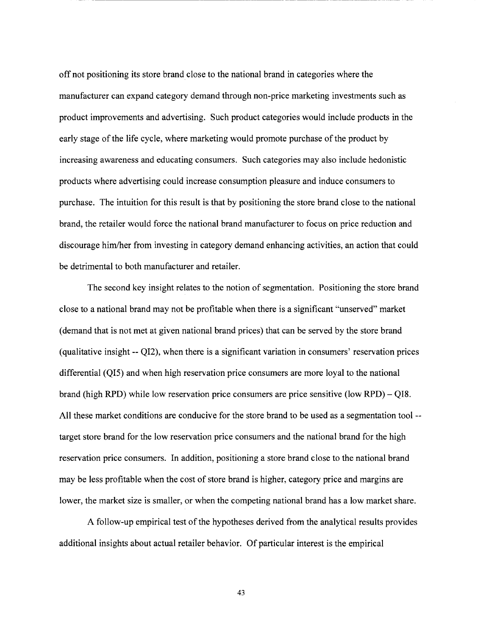off not positioning its store brand close to the national brand in categories where the manufacturer can expand category demand through non-price marketing investments such as product improvements and advertising. Such product categories would include products in the early stage of the life cycle, where marketing would promote purchase of the product by increasing awareness and educating consumers. Such categories may also include hedonistic products where advertising could increase consumption pleasure and induce consumers to purchase. The intuition for this result is that by positioning the store brand close to the national brand, the retailer would force the national brand manufacturer to focus on price reduction and discourage him/her from investing in category demand enhancing activities, an action that could be detrimental to both manufacturer and retailer.

----------~--------------------------------------------------- ---------- ----

The second key insight relates to the notion of segmentation. Positioning the store brand close to a national brand may not be profitable when there is a significant "unserved" market (demand that is not met at given national brand prices) that can be served by the store brand (qualitative insight-- QI2), when there is a significant variation in consumers' reservation prices differential (QI5) and when high reservation price consumers are more loyal to the national brand (high RPD) while low reservation price consumers are price sensitive (low RPD)- QI8. All these market conditions are conducive for the store brand to be used as a segmentation tool- target store brand for the low reservation price consumers and the national brand for the high reservation price consumers. In addition, positioning a store brand close to the national brand may be less profitable when the cost of store brand is higher, category price and margins are lower, the market size is smaller, or when the competing national brand has a low market share.

A follow-up empirical test of the hypotheses derived from the analytical results provides additional insights about actual retailer behavior. Of particular interest is the empirical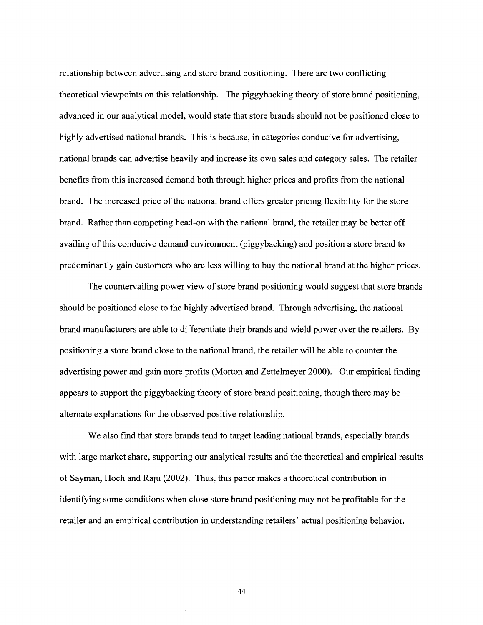relationship between advertising and store brand positioning. There are two conflicting theoretical viewpoints on this relationship. The piggybacking theory of store brand positioning, advanced in our analytical model, would state that store brands should not be positioned close to highly advertised national brands. This is because, in categories conducive for advertising, national brands can advertise heavily and increase its own sales and category sales. The retailer benefits from this increased demand both through higher prices and profits from the national brand. The increased price of the national brand offers greater pricing flexibility for the store brand. Rather than competing head-on with the national brand, the retailer may be better off availing of this conducive demand environment (piggybacking) and position a store brand to predominantly gain customers who are less willing to buy the national brand at the higher prices.

The countervailing power view of store brand positioning would suggest that store brands should be positioned close to the highly advertised brand. Through advertising, the national brand manufacturers are able to differentiate their brands and wield power over the retailers. By positioning a store brand close to the national brand, the retailer will be able to counter the advertising power and gain more profits (Morton and Zettelmeyer 2000). Our empirical finding appears to support the piggybacking theory of store brand positioning, though there may be alternate explanations for the observed positive relationship.

We also find that store brands tend to target leading national brands, especially brands with large market share, supporting our analytical results and the theoretical and empirical results of Sayman, Hoch and Raju (2002). Thus, this paper makes a theoretical contribution in identifying some conditions when close store brand positioning may not be profitable for the retailer and an empirical contribution in understanding retailers' actual positioning behavior.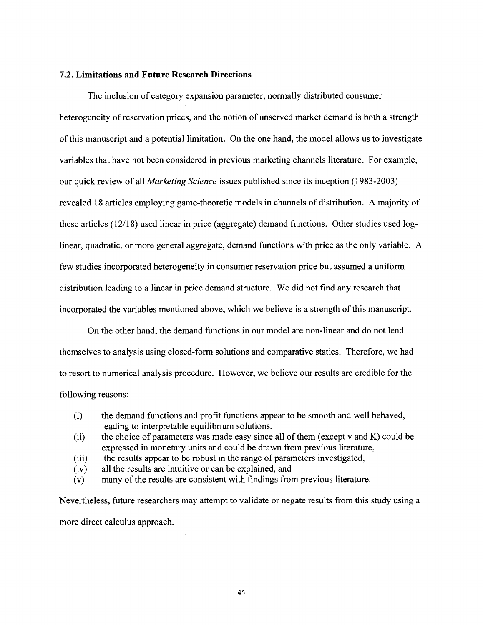# **7 .2. Limitations and Future Research Directions**

The inclusion of category expansion parameter, normally distributed consumer heterogeneity of reservation prices, and the notion of unserved market demand is both a strength of this manuscript and a potential limitation. On the one hand, the model allows us to investigate variables that have not been considered in previous marketing channels literature. For example, our quick review of all *Marketing Science* issues published since its inception (1983-2003) revealed 18 articles employing game-theoretic models in channels of distribution. A majority of these articles (12118) used linear in price (aggregate) demand functions. Other studies used loglinear, quadratic, or more general aggregate, demand functions with price as the only variable. A few studies incorporated heterogeneity in consumer reservation price but assumed a uniform distribution leading to a linear in price demand structure. We did not find any research that incorporated the variables mentioned above, which we believe is a strength of this manuscript.

------------------------------------------------~---

On the other hand, the demand functions in our model are non-linear and do not lend themselves to analysis using closed-form solutions and comparative statics. Therefore, we had to resort to numerical analysis procedure. However, we believe our results are credible for the following reasons:

- (i) the demand functions and profit functions appear to be smooth and well behaved, leading to interpretable equilibrium solutions,
- (ii) the choice of parameters was made easy since all of them (except  $v$  and  $K$ ) could be expressed in monetary units and could be drawn from previous literature,
- (iii) the results appear to be robust in the range of parameters investigated,
- (iv) all the results are intuitive or can be explained, and
- (v) many of the results are consistent with findings from previous literature.

Nevertheless, future researchers may attempt to validate or negate results from this study using a more direct calculus approach.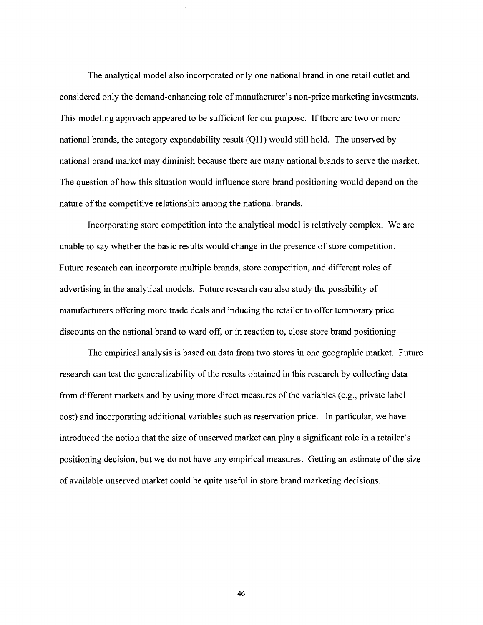The analytical model also incorporated only one national brand in one retail outlet and considered only the demand-enhancing role of manufacturer's non-price marketing investments. This modeling approach appeared to be sufficient for our purpose. If there are two or more national brands, the category expandability result (Qil) would still hold. The unserved by national brand market may diminish because there are many national brands to serve the market. The question of how this situation would influence store brand positioning would depend on the nature of the competitive relationship among the national brands.

------------------------------------------------ -------------------

Incorporating store competition into the analytical model is relatively complex. We are unable to say whether the basic results would change in the presence of store competition. Future research can incorporate multiple brands, store competition, and different roles of advertising in the analytical models. Future research can also study the possibility of manufacturers offering more trade deals and inducing the retailer to offer temporary price discounts on the national brand to ward off, or in reaction to, close store brand positioning.

The empirical analysis is based on data from two stores in one geographic market. Future research can test the generalizability of the results obtained in this research by collecting data from different markets and by using more direct measures of the variables (e.g., private label cost) and incorporating additional variables such as reservation price. In particular, we have introduced the notion that the size of unserved market can play a significant role in a retailer's positioning decision, but we do not have any empirical measures. Getting an estimate of the size of available unserved market could be quite useful in store brand marketing decisions.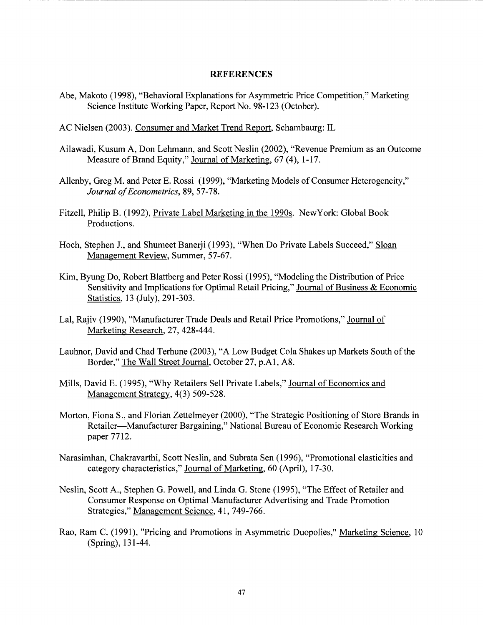#### **REFERENCES**

Abe, Makoto (1998), "Behavioral Explanations for Asymmetric Price Competition," Marketing Science Institute Working Paper, Report No. 98-123 (October).

-----------------------------------

- AC Nielsen (2003). Consumer and Market Trend Report, Schambaurg: IL
- Ailawadi, Kusum A, Don Lehmann, and Scott Neslin (2002), "Revenue Premium as an Outcome Measure of Brand Equity," Journal of Marketing, 67 (4), 1-17.
- Allenby, Greg M. and Peter E. Rossi (1999), "Marketing Models of Consumer Heterogeneity," *Journal of Econometrics,* 89,57-78.
- Fitzell, Philip B. (1992), Private Label Marketing in the 1990s. NewYork: Global Book Productions.
- Hoch, Stephen J., and Shumeet Banerji (1993), "When Do Private Labels Succeed," Sloan Management Review, Summer, 57-67.
- Kim, Byung Do, Robert Blattberg and Peter Rossi (1995), "Modeling the Distribution of Price Sensitivity and Implications for Optimal Retail Pricing," Journal of Business & Economic Statistics, 13 (July), 291-303.
- Lal, Rajiv (1990), "Manufacturer Trade Deals and Retail Price Promotions," Journal of Marketing Research, 27, 428-444.
- Lauhnor, David and Chad Terhune (2003), "A Low Budget Cola Shakes up Markets South of the Border," The Wall Street Journal, October 27, p.A1, A8.
- Mills, David E. (1995), "Why Retailers Sell Private Labels," Journal of Economics and Management Strategy, 4(3) 509-528.
- Morton, Fiona S., and Florian Zettelmeyer (2000), "The Strategic Positioning of Store Brands in Retailer-Manufacturer Bargaining," National Bureau of Economic Research Working paper 7712.
- Narasimhan, Chakravarthi, Scott Neslin, and Subrata Sen (1996), "Promotional elasticities and category characteristics," Journal of Marketing, 60 (April), 17-30.
- Neslin, Scott A., Stephen G. Powell, and Linda G. Stone (1995), "The Effect of Retailer and Consumer Response on Optimal Manufacturer Advertising and Trade Promotion Strategies," Management Science, 41, 749-766.
- Rao, Ram C. (1991), "Pricing and Promotions in Asymmetric Duopolies," Marketing Science, 10 (Spring), 131-44.